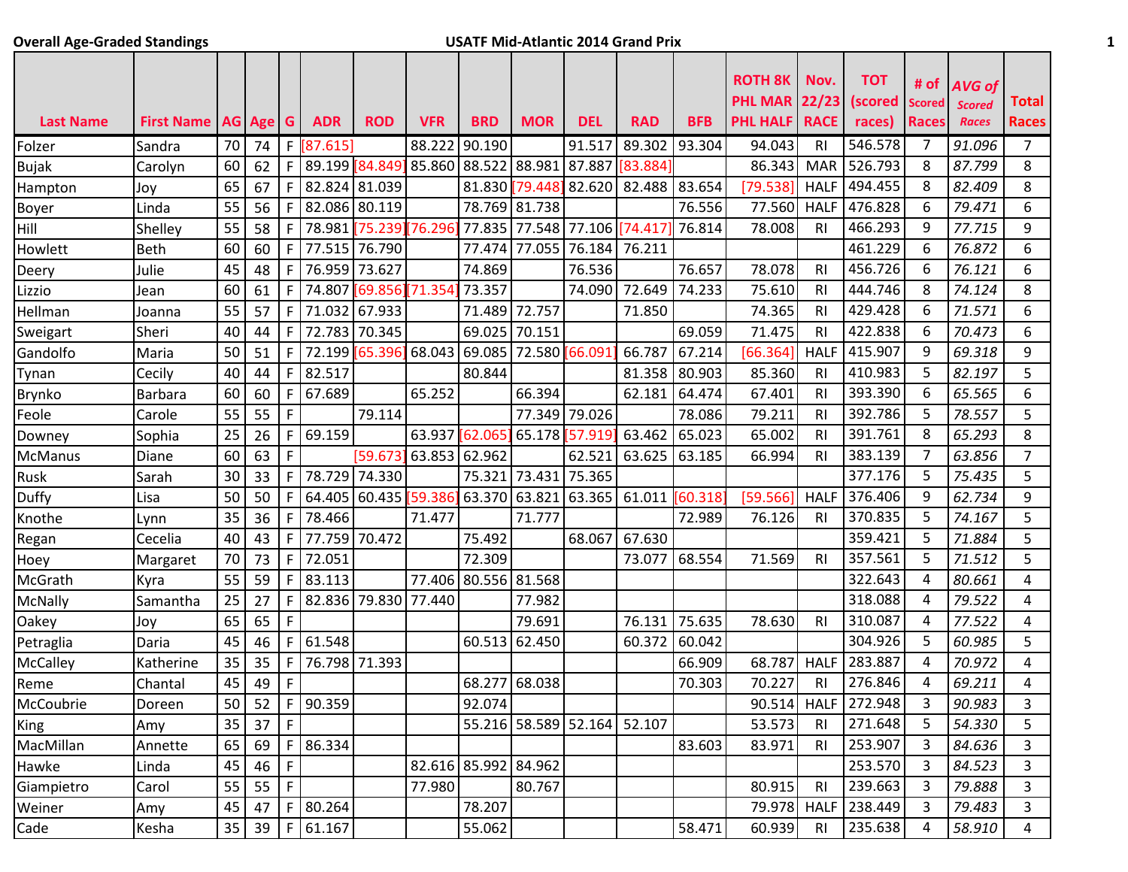## **Overall Age-Graded Standings USATF Mid-Atlantic 2014 Grand Prix 1**

| <b>Last Name</b> | First Name   AG   Age   G |    |    |              | <b>ADR</b>           | <b>ROD</b>           | <b>VFR</b>    | <b>BRD</b>           | <b>MOR</b>    | <b>DEL</b>                  | RAD      | BFB      | <b>ROTH 8K</b><br><b>PHL MAR 22/23</b><br><b>PHL HALF</b> | Nov.<br><b>RACE</b> | <b>TOT</b><br>(scored<br>races) | # of<br><b>Scored</b><br><b>Races</b> | AVG of<br><b>Scored</b><br><b>Races</b> | <b>Total</b><br><b>Races</b> |
|------------------|---------------------------|----|----|--------------|----------------------|----------------------|---------------|----------------------|---------------|-----------------------------|----------|----------|-----------------------------------------------------------|---------------------|---------------------------------|---------------------------------------|-----------------------------------------|------------------------------|
| Folzer           | Sandra                    | 70 | 74 | F.           | [87.615]             |                      | 88.222        | 90.190               |               | 91.517                      | 89.302   | 93.304   | 94.043                                                    | RI                  | 546.578                         | 7                                     | 91.096                                  | $\overline{7}$               |
| <b>Bujak</b>     | Carolyn                   | 60 | 62 | F            | 89.199               | 84.849 85.860        |               | 88.522 88.981        |               | 87.887                      | [83.884] |          | 86.343                                                    | <b>MAR</b>          | 526.793                         | 8                                     | 87.799                                  | 8                            |
| Hampton          | Joy                       | 65 | 67 | F            | 82.824 81.039        |                      |               |                      |               | 81.830 79.448 82.620 82.488 |          | 83.654   | [79.538]                                                  | <b>HALF</b>         | 494.455                         | 8                                     | 82.409                                  | 8                            |
| Boyer            | Linda                     | 55 | 56 | F            | 82.086               | 80.119               |               |                      | 78.769 81.738 |                             |          | 76.556   | 77.560                                                    | <b>HALF</b>         | 476.828                         | 6                                     | 79.471                                  | 6                            |
| Hill             | Shelley                   | 55 | 58 | F            |                      | 78.981 75.239 76.296 |               |                      | 77.835 77.548 | 77.106 74.417               |          | 76.814   | 78.008                                                    | RI                  | 466.293                         | 9                                     | 77.715                                  | 9                            |
| Howlett          | <b>Beth</b>               | 60 | 60 | F            | 77.515               | 76.790               |               | 77.474               | 77.055        | 76.184                      | 76.211   |          |                                                           |                     | 461.229                         | 6                                     | 76.872                                  | 6                            |
| Deery            | Julie                     | 45 | 48 | F            | 76.959               | 73.627               |               | 74.869               |               | 76.536                      |          | 76.657   | 78.078                                                    | R <sub>l</sub>      | 456.726                         | 6                                     | 76.121                                  | 6                            |
| Lizzio           | Jean                      | 60 | 61 | F            | 74.807               | [69.856][71.354      |               | 73.357               |               | 74.090                      | 72.649   | 74.233   | 75.610                                                    | RI                  | 444.746                         | 8                                     | 74.124                                  | 8                            |
| Hellman          | Joanna                    | 55 | 57 | F            | 71.032               | 67.933               |               | 71.489               | 72.757        |                             | 71.850   |          | 74.365                                                    | RI                  | 429.428                         | 6                                     | 71.571                                  | 6                            |
| Sweigart         | Sheri                     | 40 | 44 | F            | 72.783 70.345        |                      |               | 69.025               | 70.151        |                             |          | 69.059   | 71.475                                                    | RI                  | 422.838                         | 6                                     | 70.473                                  | 6                            |
| Gandolfo         | Maria                     | 50 | 51 | F.           | 72.199               | [65.396]             | 68.043        | 69.085               | 72.580        | 66.091                      | 66.787   | 67.214   | [66.364]                                                  | <b>HALF</b>         | 415.907                         | 9                                     | 69.318                                  | 9                            |
| Tynan            | Cecily                    | 40 | 44 | F            | 82.517               |                      |               | 80.844               |               |                             | 81.358   | 80.903   | 85.360                                                    | R <sub>l</sub>      | 410.983                         | 5                                     | 82.197                                  | 5                            |
| Brynko           | <b>Barbara</b>            | 60 | 60 | F            | 67.689               |                      | 65.252        |                      | 66.394        |                             | 62.181   | 64.474   | 67.401                                                    | RI                  | 393.390                         | 6                                     | 65.565                                  | 6                            |
| Feole            | Carole                    | 55 | 55 | $\mathsf F$  |                      | 79.114               |               |                      | 77.349        | 79.026                      |          | 78.086   | 79.211                                                    | RI                  | 392.786                         | 5                                     | 78.557                                  | 5                            |
| Downey           | Sophia                    | 25 | 26 | F            | 69.159               |                      | 63.937 62.065 |                      | 65.178        | 57.919                      | 63.462   | 65.023   | 65.002                                                    | RI                  | 391.761                         | 8                                     | 65.293                                  | 8                            |
| <b>McManus</b>   | Diane                     | 60 | 63 | F            |                      | 59.673               | 63.853 62.962 |                      |               | 62.521                      | 63.625   | 63.185   | 66.994                                                    | R <sub>l</sub>      | 383.139                         | $\overline{7}$                        | 63.856                                  | $\overline{7}$               |
| Rusk             | Sarah                     | 30 | 33 | F            | 78.729               | 74.330               |               | 75.321               | 73.431        | 75.365                      |          |          |                                                           |                     | 377.176                         | 5                                     | 75.435                                  | 5                            |
| Duffy            | Lisa                      | 50 | 50 | F            | 64.405               | 60.435               | 59.386        | 63.370               | 63.821        | 63.365                      | 61.011   | [60.318] | [59.566]                                                  | <b>HALF</b>         | 376.406                         | 9                                     | 62.734                                  | 9                            |
| Knothe           | Lynn                      | 35 | 36 | F            | 78.466               |                      | 71.477        |                      | 71.777        |                             |          | 72.989   | 76.126                                                    | R <sub>l</sub>      | 370.835                         | 5                                     | 74.167                                  | 5                            |
| Regan            | Cecelia                   | 40 | 43 | F            | 77.759               | 70.472               |               | 75.492               |               | 68.067                      | 67.630   |          |                                                           |                     | 359.421                         | 5                                     | 71.884                                  | 5                            |
| Hoey             | Margaret                  | 70 | 73 | $\mathsf F$  | 72.051               |                      |               | 72.309               |               |                             | 73.077   | 68.554   | 71.569                                                    | RI                  | 357.561                         | 5                                     | 71.512                                  | 5                            |
| McGrath          | Kyra                      | 55 | 59 | F            | 83.113               |                      | 77.406        | 80.556 81.568        |               |                             |          |          |                                                           |                     | 322.643                         | 4                                     | 80.661                                  | 4                            |
| McNally          | Samantha                  | 25 | 27 | F            | 82.836               | 79.830               | 77.440        |                      | 77.982        |                             |          |          |                                                           |                     | 318.088                         | 4                                     | 79.522                                  | 4                            |
| Oakey            | Joy                       | 65 | 65 | F            |                      |                      |               |                      | 79.691        |                             | 76.131   | 75.635   | 78.630                                                    | R <sub>l</sub>      | 310.087                         | 4                                     | 77.522                                  | 4                            |
| Petraglia        | Daria                     | 45 | 46 | F            | 61.548               |                      |               |                      | 60.513 62.450 |                             | 60.372   | 60.042   |                                                           |                     | 304.926                         | 5                                     | 60.985                                  | 5                            |
| McCalley         | Katherine                 | 35 | 35 | F            | 76.798               | 71.393               |               |                      |               |                             |          | 66.909   | 68.787                                                    | <b>HALF</b>         | 283.887                         | 4                                     | 70.972                                  | 4                            |
| Reme             | Chantal                   | 45 | 49 | F            |                      |                      |               | 68.277               | 68.038        |                             |          | 70.303   | 70.227                                                    | RI                  | 276.846                         | 4                                     | 69.211                                  | 4                            |
| McCoubrie        | Doreen                    |    |    |              | 50   52   F   90.359 |                      |               | 92.074               |               |                             |          |          |                                                           |                     | 90.514 HALF 272.948             | 3                                     | 90.983                                  | 3                            |
| King             | Amy                       | 35 | 37 | F            |                      |                      |               |                      |               | 55.216 58.589 52.164 52.107 |          |          | 53.573                                                    | R <sub>l</sub>      | 271.648                         | 5                                     | 54.330                                  | 5                            |
| MacMillan        | Annette                   | 65 | 69 |              | F 86.334             |                      |               |                      |               |                             |          | 83.603   | 83.971                                                    | R <sub>l</sub>      | 253.907                         | 3                                     | 84.636                                  | 3                            |
| Hawke            | Linda                     | 45 | 46 | $\mathsf{F}$ |                      |                      |               | 82.616 85.992 84.962 |               |                             |          |          |                                                           |                     | 253.570                         | 3                                     | 84.523                                  | 3                            |
| Giampietro       | Carol                     | 55 | 55 | F            |                      |                      | 77.980        |                      | 80.767        |                             |          |          | 80.915                                                    | R <sub>l</sub>      | 239.663                         | 3                                     | 79.888                                  | 3                            |
| Weiner           | Amy                       | 45 | 47 |              | F 80.264             |                      |               | 78.207               |               |                             |          |          |                                                           |                     | 79.978 HALF 238.449             | 3                                     | 79.483                                  | 3                            |
| Cade             | Kesha                     | 35 | 39 |              | F[61.167]            |                      |               | 55.062               |               |                             |          | 58.471   | 60.939                                                    | RI                  | 235.638                         | 4                                     | 58.910                                  | 4                            |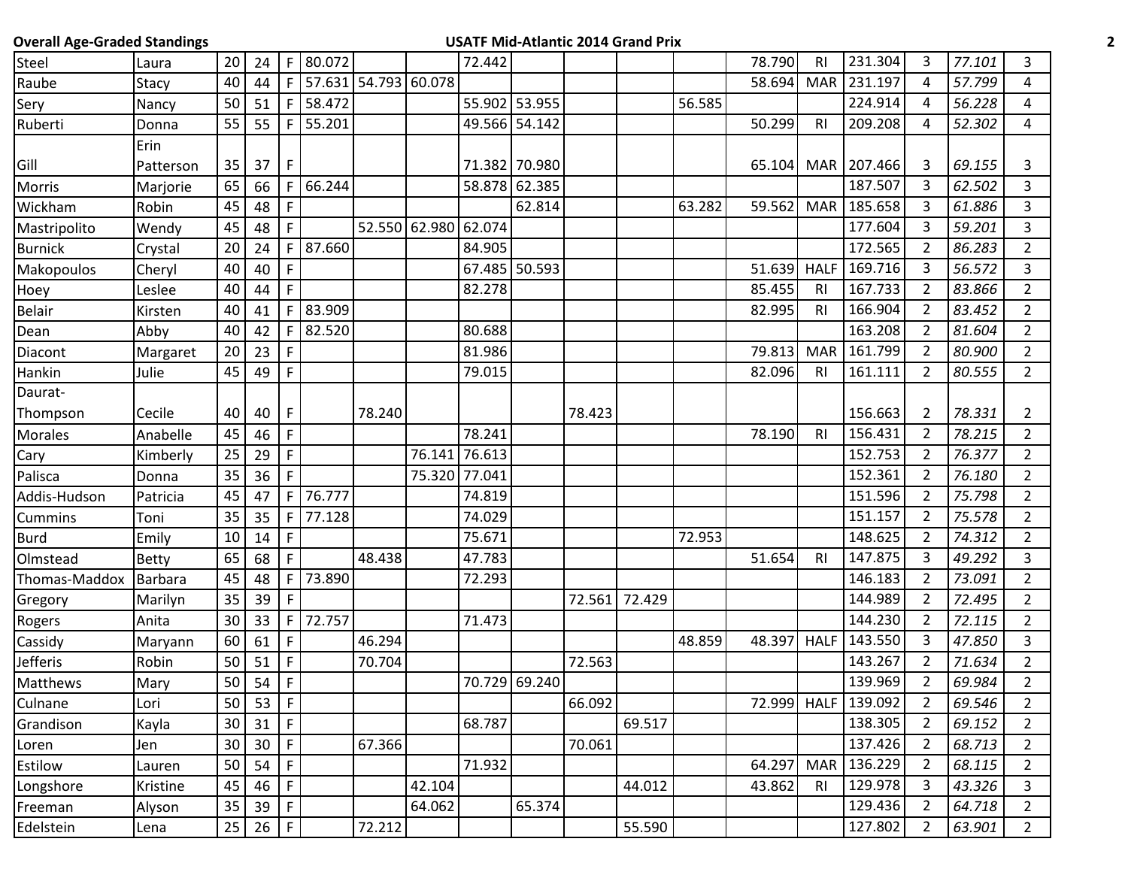| <b>Overall Age-Graded Standings</b> |              |                 |                     |              |                        |        |               |        |               |        | <b>USATF Mid-Atlantic 2014 Grand Prix</b> |        |        |                |                    |                |        |                |  |
|-------------------------------------|--------------|-----------------|---------------------|--------------|------------------------|--------|---------------|--------|---------------|--------|-------------------------------------------|--------|--------|----------------|--------------------|----------------|--------|----------------|--|
| Steel                               | Laura        | 20              | 24                  | F            | 80.072                 |        |               | 72.442 |               |        |                                           |        | 78.790 | RI             | 231.304            | 3              | 77.101 | 3              |  |
| Raube                               | Stacy        | 40              | 44                  |              | F 57.631 54.793 60.078 |        |               |        |               |        |                                           |        | 58.694 | <b>MAR</b>     | 231.197            | 4              | 57.799 | 4              |  |
| Sery                                | Nancy        | 50              | 51                  |              | $F$ 58.472             |        |               |        | 55.902 53.955 |        |                                           | 56.585 |        |                | 224.914            | 4              | 56.228 | 4              |  |
| Ruberti                             | Donna        | 55              | 55                  | $\mathsf{F}$ | 55.201                 |        |               |        | 49.566 54.142 |        |                                           |        | 50.299 | RI             | 209.208            | 4              | 52.302 | 4              |  |
|                                     | Erin         |                 |                     |              |                        |        |               |        |               |        |                                           |        |        |                |                    |                |        |                |  |
| Gill                                | Patterson    | 35              | 37                  | F            |                        |        |               |        | 71.382 70.980 |        |                                           |        |        |                | 65.104 MAR 207.466 | 3              | 69.155 | 3              |  |
| Morris                              | Marjorie     | 65              | 66                  | F            | 66.244                 |        |               |        | 58.878 62.385 |        |                                           |        |        |                | 187.507            | $\overline{3}$ | 62.502 | $\overline{3}$ |  |
| Wickham                             | Robin        | 45              | 48                  | F            |                        |        |               |        | 62.814        |        |                                           | 63.282 | 59.562 | MAR            | 185.658            | 3              | 61.886 | $\mathbf{3}$   |  |
| Mastripolito                        | Wendy        | 45              | 48                  | $\mathsf{F}$ |                        |        | 52.550 62.980 | 62.074 |               |        |                                           |        |        |                | 177.604            | $\mathbf{3}$   | 59.201 | $\overline{3}$ |  |
| <b>Burnick</b>                      | Crystal      | 20              | 24                  | F            | 87.660                 |        |               | 84.905 |               |        |                                           |        |        |                | 172.565            | $\overline{2}$ | 86.283 | $2^{\circ}$    |  |
| Makopoulos                          | Cheryl       | 40              | 40                  | $\mathsf{F}$ |                        |        |               |        | 67.485 50.593 |        |                                           |        | 51.639 | <b>HALF</b>    | 169.716            | 3              | 56.572 | $\mathbf{3}$   |  |
| Hoey                                | Leslee       | 40              | 44                  | $\mathsf{F}$ |                        |        |               | 82.278 |               |        |                                           |        | 85.455 | R <sub>l</sub> | 167.733            | $\overline{2}$ | 83.866 | $\overline{2}$ |  |
| <b>Belair</b>                       | Kirsten      | 40              | 41                  | F            | 83.909                 |        |               |        |               |        |                                           |        | 82.995 | <b>RI</b>      | 166.904            | $\overline{2}$ | 83.452 | $2^{\circ}$    |  |
| Dean                                | Abby         | 40              | 42                  | F.           | 82.520                 |        |               | 80.688 |               |        |                                           |        |        |                | 163.208            | $\overline{2}$ | 81.604 | $\overline{2}$ |  |
| Diacont                             | Margaret     | 20              | 23                  | F            |                        |        |               | 81.986 |               |        |                                           |        | 79.813 | <b>MAR</b>     | 161.799            | $\overline{2}$ | 80.900 | $2^{\circ}$    |  |
| Hankin                              | Julie        | 45              | 49                  | $\mathsf{F}$ |                        |        |               | 79.015 |               |        |                                           |        | 82.096 | R1             | 161.111            | $2^{\circ}$    | 80.555 | $\overline{2}$ |  |
| Daurat-                             |              |                 |                     |              |                        |        |               |        |               |        |                                           |        |        |                |                    |                |        |                |  |
| Thompson                            | Cecile       | 40              | 40                  | F            |                        | 78.240 |               |        |               | 78.423 |                                           |        |        |                | 156.663            | $\overline{2}$ | 78.331 | $\overline{2}$ |  |
| <b>Morales</b>                      | Anabelle     | 45              | 46                  | $\mathsf{F}$ |                        |        |               | 78.241 |               |        |                                           |        | 78.190 | R <sub>l</sub> | 156.431            | $\overline{2}$ | 78.215 | $\overline{2}$ |  |
| Cary                                | Kimberly     | 25              | 29                  | $\mathsf{F}$ |                        |        | 76.141        | 76.613 |               |        |                                           |        |        |                | 152.753            | $\overline{2}$ | 76.377 | $\overline{2}$ |  |
| Palisca                             | Donna        | 35              | 36                  | $\mathsf{F}$ |                        |        | 75.320        | 77.041 |               |        |                                           |        |        |                | 152.361            | $\overline{2}$ | 76.180 | $\overline{2}$ |  |
| Addis-Hudson                        | Patricia     | 45              | 47                  | F.           | 76.777                 |        |               | 74.819 |               |        |                                           |        |        |                | 151.596            | $\overline{2}$ | 75.798 | $\overline{2}$ |  |
| <b>Cummins</b>                      | Toni         | 35              | 35                  | F.           | 77.128                 |        |               | 74.029 |               |        |                                           |        |        |                | 151.157            | $\overline{2}$ | 75.578 | $2^{\circ}$    |  |
| <b>Burd</b>                         | Emily        | 10              | 14                  | $\mathsf{F}$ |                        |        |               | 75.671 |               |        |                                           | 72.953 |        |                | 148.625            | $\overline{2}$ | 74.312 | $\overline{2}$ |  |
| Olmstead                            | <b>Betty</b> | 65              | 68                  | F.           |                        | 48.438 |               | 47.783 |               |        |                                           |        | 51.654 | R <sub>1</sub> | 147.875            | 3              | 49.292 | $\mathbf{3}$   |  |
| Thomas-Maddox                       | Barbara      | 45              | 48                  | F.           | 73.890                 |        |               | 72.293 |               |        |                                           |        |        |                | 146.183            | $\overline{2}$ | 73.091 | $\overline{2}$ |  |
| Gregory                             | Marilyn      | 35              | 39                  | F            |                        |        |               |        |               |        | 72.561 72.429                             |        |        |                | 144.989            | $\overline{2}$ | 72.495 | $2^{\circ}$    |  |
| Rogers                              | Anita        | 30              | 33                  |              | F 72.757               |        |               | 71.473 |               |        |                                           |        |        |                | 144.230            | $\overline{2}$ | 72.115 | $\overline{2}$ |  |
| Cassidy                             | Maryann      | 60              | 61                  | F            |                        | 46.294 |               |        |               |        |                                           | 48.859 | 48.397 | <b>HALF</b>    | 143.550            | 3              | 47.850 | 3              |  |
| Jefferis                            | Robin        | 50              | 51                  | $\mathsf{F}$ |                        | 70.704 |               |        |               | 72.563 |                                           |        |        |                | 143.267            | $2^{\circ}$    | 71.634 | $2^{\circ}$    |  |
| Matthews                            | Mary         |                 | $50$ 54 F           |              |                        |        |               |        | 70.729 69.240 |        |                                           |        |        |                | 139.969            | $\overline{2}$ | 69.984 | $\overline{2}$ |  |
| Culnane                             | Lori         | 50              | 53                  | F            |                        |        |               |        |               | 66.092 |                                           |        | 72.999 | <b>HALF</b>    | 139.092            | $\overline{2}$ | 69.546 | $\overline{2}$ |  |
| Grandison                           | Kayla        | 30 <sup>°</sup> | $31$   F            |              |                        |        |               | 68.787 |               |        | 69.517                                    |        |        |                | 138.305            | $\overline{2}$ | 69.152 | $2^{\circ}$    |  |
| Loren                               | Jen          | 30              | 30                  | $\mathsf{F}$ |                        | 67.366 |               |        |               | 70.061 |                                           |        |        |                | 137.426            | $\overline{2}$ | 68.713 | $\overline{2}$ |  |
| Estilow                             | Lauren       | 50              | 54                  | $\mathsf F$  |                        |        |               | 71.932 |               |        |                                           |        | 64.297 | <b>MAR</b>     | 136.229            | $\overline{2}$ | 68.115 | $2^{\circ}$    |  |
| Longshore                           | Kristine     | 45              | 46                  | $\mathsf F$  |                        |        | 42.104        |        |               |        | 44.012                                    |        | 43.862 | RI             | 129.978            | $\mathbf{3}$   | 43.326 | 3              |  |
| Freeman                             | Alyson       | 35              | 39                  | F            |                        |        | 64.062        |        | 65.374        |        |                                           |        |        |                | 129.436            | $\overline{2}$ | 64.718 | $2^{\circ}$    |  |
| Edelstein                           | Lena         |                 | $25 \mid 26 \mid F$ |              |                        | 72.212 |               |        |               |        | 55.590                                    |        |        |                | 127.802            | $\overline{2}$ | 63.901 | $2^{\circ}$    |  |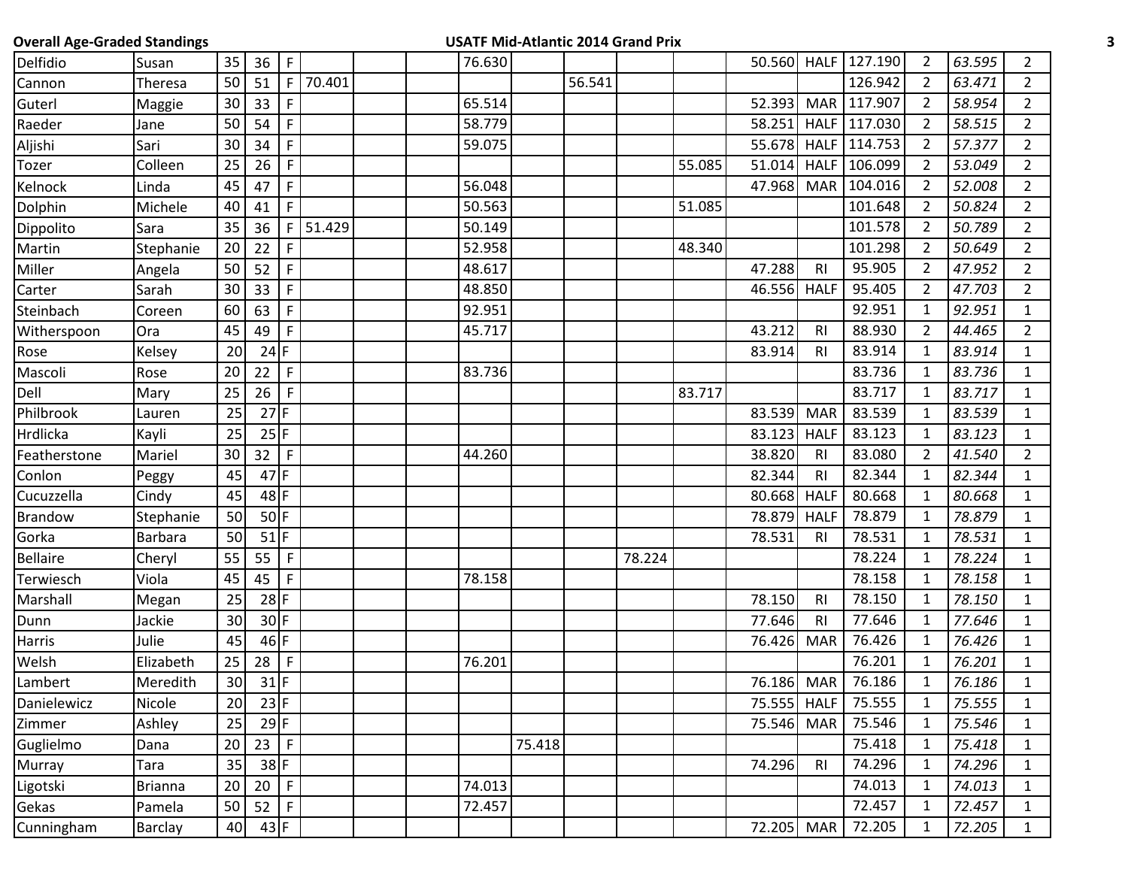| <b>Overall Age-Graded Standings</b> |                |    |                 |              |        |        | <b>USATF Mid-Atlantic 2014 Grand Prix</b> |        |        |        |             |                |                     |                |        |                |
|-------------------------------------|----------------|----|-----------------|--------------|--------|--------|-------------------------------------------|--------|--------|--------|-------------|----------------|---------------------|----------------|--------|----------------|
| Delfidio                            | Susan          | 35 | 36              | F            |        | 76.630 |                                           |        |        |        |             |                | 50.560 HALF 127.190 | $\overline{2}$ | 63.595 | $\overline{2}$ |
| Cannon                              | Theresa        | 50 | 51              | F            | 70.401 |        |                                           | 56.541 |        |        |             |                | 126.942             | $\overline{2}$ | 63.471 | $2^{\circ}$    |
| Guterl                              | Maggie         | 30 | 33              | F            |        | 65.514 |                                           |        |        |        | 52.393      |                | MAR 117.907         | $\overline{2}$ | 58.954 | $2^{\circ}$    |
| Raeder                              | Jane           | 50 | 54              | F            |        | 58.779 |                                           |        |        |        | 58.251      |                | HALF 117.030        | $\overline{2}$ | 58.515 | $2^{\circ}$    |
| Aljishi                             | Sari           | 30 | 34              | F            |        | 59.075 |                                           |        |        |        |             |                | 55.678 HALF 114.753 | $\overline{2}$ | 57.377 | $\overline{2}$ |
| <b>Tozer</b>                        | Colleen        | 25 | 26              | F            |        |        |                                           |        |        | 55.085 | 51.014      | <b>HALF</b>    | 106.099             | $\overline{2}$ | 53.049 | $2^{\circ}$    |
| Kelnock                             | Linda          | 45 | 47              | $\mathsf{F}$ |        | 56.048 |                                           |        |        |        | 47.968      | <b>MAR</b>     | 104.016             | $\overline{2}$ | 52.008 | $\overline{2}$ |
| Dolphin                             | Michele        | 40 | 41              | F            |        | 50.563 |                                           |        |        | 51.085 |             |                | 101.648             | $\overline{2}$ | 50.824 | $\overline{2}$ |
| Dippolito                           | Sara           | 35 | 36              | F            | 51.429 | 50.149 |                                           |        |        |        |             |                | 101.578             | $\overline{2}$ | 50.789 | $2^{\circ}$    |
| Martin                              | Stephanie      | 20 | 22              | F            |        | 52.958 |                                           |        |        | 48.340 |             |                | 101.298             | $\overline{2}$ | 50.649 | $\overline{2}$ |
| Miller                              | Angela         | 50 | 52              | $\mathsf{F}$ |        | 48.617 |                                           |        |        |        | 47.288      | <b>RI</b>      | 95.905              | $\overline{2}$ | 47.952 | $2^{\circ}$    |
| Carter                              | Sarah          | 30 | 33              | $\mathsf F$  |        | 48.850 |                                           |        |        |        | 46.556      | <b>HALF</b>    | 95.405              | $\overline{2}$ | 47.703 | $\overline{2}$ |
| Steinbach                           | Coreen         | 60 | 63              | F            |        | 92.951 |                                           |        |        |        |             |                | 92.951              | $\mathbf{1}$   | 92.951 | $\mathbf{1}$   |
| Witherspoon                         | Ora            | 45 | 49              | $\mathsf{F}$ |        | 45.717 |                                           |        |        |        | 43.212      | R <sub>l</sub> | 88.930              | $\overline{2}$ | 44.465 | $\overline{2}$ |
| Rose                                | Kelsey         | 20 | $24$ F          |              |        |        |                                           |        |        |        | 83.914      | R <sub>l</sub> | 83.914              | $\mathbf{1}$   | 83.914 | $\mathbf{1}$   |
| Mascoli                             | Rose           | 20 | 22              | $\mathsf{F}$ |        | 83.736 |                                           |        |        |        |             |                | 83.736              | $\mathbf{1}$   | 83.736 | $\mathbf{1}$   |
| Dell                                | Mary           | 25 | 26              | $\mathsf{F}$ |        |        |                                           |        |        | 83.717 |             |                | 83.717              | $\mathbf{1}$   | 83.717 | $\mathbf{1}$   |
| Philbrook                           | Lauren         | 25 | $27$ F          |              |        |        |                                           |        |        |        | 83.539      | <b>MAR</b>     | 83.539              | $\mathbf{1}$   | 83.539 | $\mathbf{1}$   |
| Hrdlicka                            | Kayli          | 25 | $25$ F          |              |        |        |                                           |        |        |        | 83.123      | <b>HALF</b>    | 83.123              | $\mathbf{1}$   | 83.123 | $\mathbf{1}$   |
| Featherstone                        | Mariel         | 30 | 32 <sup>2</sup> | F            |        | 44.260 |                                           |        |        |        | 38.820      | RI             | 83.080              | $\overline{2}$ | 41.540 | $2^{\circ}$    |
| Conlon                              | Peggy          | 45 | $47$ F          |              |        |        |                                           |        |        |        | 82.344      | R <sub>l</sub> | 82.344              | $\mathbf{1}$   | 82.344 | $\mathbf{1}$   |
| Cucuzzella                          | Cindy          | 45 | $48$ F          |              |        |        |                                           |        |        |        | 80.668      | <b>HALF</b>    | 80.668              | $\mathbf{1}$   | 80.668 | $\mathbf{1}$   |
| Brandow                             | Stephanie      | 50 |                 | $50$ F       |        |        |                                           |        |        |        | 78.879      | <b>HALF</b>    | 78.879              | $\mathbf{1}$   | 78.879 | $\mathbf{1}$   |
| Gorka                               | Barbara        | 50 |                 | $51$ F       |        |        |                                           |        |        |        | 78.531      | R <sub>l</sub> | 78.531              | $\mathbf{1}$   | 78.531 | $\mathbf{1}$   |
| <b>Bellaire</b>                     | Cheryl         | 55 | 55              | F            |        |        |                                           |        | 78.224 |        |             |                | 78.224              | 1              | 78.224 | $\mathbf{1}$   |
| Terwiesch                           | Viola          | 45 | 45              | $\mathsf{F}$ |        | 78.158 |                                           |        |        |        |             |                | 78.158              | $\mathbf{1}$   | 78.158 | $\mathbf{1}$   |
| Marshall                            | Megan          | 25 | $28$ F          |              |        |        |                                           |        |        |        | 78.150      | R <sub>l</sub> | 78.150              | 1              | 78.150 | $\mathbf{1}$   |
| Dunn                                | Jackie         | 30 |                 | $30$ F       |        |        |                                           |        |        |        | 77.646      | <b>RI</b>      | 77.646              | $\mathbf{1}$   | 77.646 | $\mathbf{1}$   |
| Harris                              | Julie          | 45 |                 | 46 F         |        |        |                                           |        |        |        | 76.426      | <b>MAR</b>     | 76.426              | $\mathbf{1}$   | 76.426 | $\mathbf{1}$   |
| Welsh                               | Elizabeth      | 25 | 28              | F            |        | 76.201 |                                           |        |        |        |             |                | 76.201              | $\mathbf{1}$   | 76.201 | $\mathbf{1}$   |
| Lambert                             | Meredith       | 30 | $31$ F          |              |        |        |                                           |        |        |        | 76.186 MAR  |                | 76.186              | 1              | 76.186 | $\mathbf{1}$   |
| Danielewicz                         | Nicole         | 20 |                 | $23$ F       |        |        |                                           |        |        |        | 75.555 HALF |                | 75.555              | $\mathbf{1}$   | 75.555 | $\mathbf{1}$   |
| Zimmer                              | Ashley         | 25 | $29$ F          |              |        |        |                                           |        |        |        | 75.546      | <b>MAR</b>     | 75.546              | $\mathbf{1}$   | 75.546 | $\mathbf{1}$   |
| Guglielmo                           | Dana           | 20 | 23              | $\mathsf F$  |        |        | 75.418                                    |        |        |        |             |                | 75.418              | $\mathbf{1}$   | 75.418 | $\mathbf{1}$   |
| Murray                              | Tara           | 35 | $38$ F          |              |        |        |                                           |        |        |        | 74.296      | R <sub>l</sub> | 74.296              | $\mathbf{1}$   | 74.296 | $\mathbf{1}$   |
| Ligotski                            | <b>Brianna</b> | 20 | 20 <sub>2</sub> | $\mathsf F$  |        | 74.013 |                                           |        |        |        |             |                | 74.013              | $\mathbf{1}$   | 74.013 | $\mathbf{1}$   |
| Gekas                               | Pamela         | 50 | 52              | F            |        | 72.457 |                                           |        |        |        |             |                | 72.457              | $\mathbf{1}$   | 72.457 | $\mathbf{1}$   |
| Cunningham                          | Barclay        | 40 | $43$ F          |              |        |        |                                           |        |        |        | 72.205 MAR  |                | 72.205              | $\mathbf{1}$   | 72.205 | $\mathbf{1}$   |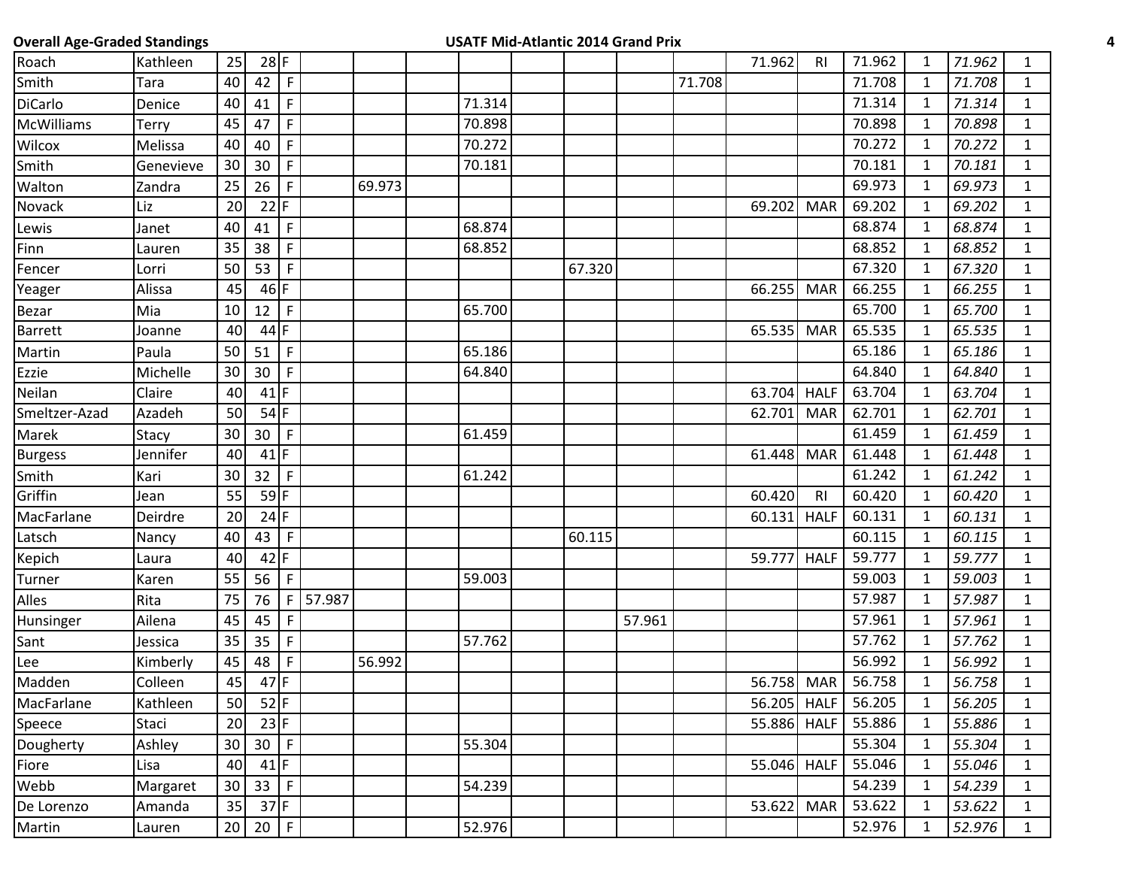| <b>Overall Age-Graded Standings</b> |           |    |                 |              |        |        |        | <b>USATF Mid-Atlantic 2014 Grand Prix</b> |        |        |        |             |                |        |              |        |              |
|-------------------------------------|-----------|----|-----------------|--------------|--------|--------|--------|-------------------------------------------|--------|--------|--------|-------------|----------------|--------|--------------|--------|--------------|
| Roach                               | Kathleen  | 25 | $28$ F          |              |        |        |        |                                           |        |        |        | 71.962      | R <sub>l</sub> | 71.962 | $\mathbf{1}$ | 71.962 | $\mathbf{1}$ |
| Smith                               | Tara      | 40 | 42              | $\mathsf{F}$ |        |        |        |                                           |        |        | 71.708 |             |                | 71.708 | $\mathbf{1}$ | 71.708 | $\mathbf{1}$ |
| DiCarlo                             | Denice    | 40 | 41              | $\mathsf{F}$ |        |        | 71.314 |                                           |        |        |        |             |                | 71.314 | $\mathbf{1}$ | 71.314 | $\mathbf{1}$ |
| McWilliams                          | Terry     | 45 | 47              | F            |        |        | 70.898 |                                           |        |        |        |             |                | 70.898 | 1            | 70.898 | $\mathbf{1}$ |
| Wilcox                              | Melissa   | 40 | 40              | $\mathsf{F}$ |        |        | 70.272 |                                           |        |        |        |             |                | 70.272 | $\mathbf{1}$ | 70.272 | $\mathbf{1}$ |
| Smith                               | Genevieve | 30 | 30              | F            |        |        | 70.181 |                                           |        |        |        |             |                | 70.181 | $\mathbf{1}$ | 70.181 | $\mathbf{1}$ |
| Walton                              | Zandra    | 25 | 26              | $\mathsf{F}$ |        | 69.973 |        |                                           |        |        |        |             |                | 69.973 | $\mathbf{1}$ | 69.973 | $\mathbf{1}$ |
| Novack                              | Liz       | 20 | $22$ F          |              |        |        |        |                                           |        |        |        | 69.202      | <b>MAR</b>     | 69.202 | $\mathbf{1}$ | 69.202 | $\mathbf{1}$ |
| Lewis                               | Janet     | 40 | 41              | $\mathsf{F}$ |        |        | 68.874 |                                           |        |        |        |             |                | 68.874 | 1            | 68.874 | $\mathbf{1}$ |
| Finn                                | Lauren    | 35 | 38              | F            |        |        | 68.852 |                                           |        |        |        |             |                | 68.852 | $\mathbf{1}$ | 68.852 | $\mathbf{1}$ |
| Fencer                              | Lorri     | 50 | 53              | F.           |        |        |        |                                           | 67.320 |        |        |             |                | 67.320 | 1            | 67.320 | $\mathbf{1}$ |
| Yeager                              | Alissa    | 45 | $46$ F          |              |        |        |        |                                           |        |        |        | 66.255      | <b>MAR</b>     | 66.255 | $\mathbf{1}$ | 66.255 | $\mathbf{1}$ |
| Bezar                               | Mia       | 10 | 12              | $\mathsf F$  |        |        | 65.700 |                                           |        |        |        |             |                | 65.700 | $\mathbf{1}$ | 65.700 | $\mathbf{1}$ |
| Barrett                             | Joanne    | 40 | $44$ F          |              |        |        |        |                                           |        |        |        | 65.535      | <b>MAR</b>     | 65.535 | $\mathbf{1}$ | 65.535 | $\mathbf{1}$ |
| Martin                              | Paula     | 50 | 51              | $\mathsf{F}$ |        |        | 65.186 |                                           |        |        |        |             |                | 65.186 | 1            | 65.186 | $\mathbf{1}$ |
| Ezzie                               | Michelle  | 30 | 30              | $\mathsf{F}$ |        |        | 64.840 |                                           |        |        |        |             |                | 64.840 | $\mathbf{1}$ | 64.840 | $\mathbf{1}$ |
| Neilan                              | Claire    | 40 | $41$ F          |              |        |        |        |                                           |        |        |        | 63.704      | <b>HALF</b>    | 63.704 | $\mathbf{1}$ | 63.704 | $\mathbf{1}$ |
| Smeltzer-Azad                       | Azadeh    | 50 | $54$ F          |              |        |        |        |                                           |        |        |        | 62.701      | <b>MAR</b>     | 62.701 | $\mathbf{1}$ | 62.701 | $\mathbf{1}$ |
| Marek                               | Stacy     | 30 | 30 <sup>°</sup> | $\mathsf{F}$ |        |        | 61.459 |                                           |        |        |        |             |                | 61.459 | $\mathbf{1}$ | 61.459 | $\mathbf{1}$ |
| <b>Burgess</b>                      | Jennifer  | 40 | $41$ F          |              |        |        |        |                                           |        |        |        | 61.448      | <b>MAR</b>     | 61.448 | $\mathbf{1}$ | 61.448 | $\mathbf{1}$ |
| Smith                               | Kari      | 30 | 32 <sup>2</sup> | $\mathsf{F}$ |        |        | 61.242 |                                           |        |        |        |             |                | 61.242 | 1            | 61.242 | $\mathbf{1}$ |
| Griffin                             | Jean      | 55 | $59$ F          |              |        |        |        |                                           |        |        |        | 60.420      | R <sub>l</sub> | 60.420 | $\mathbf{1}$ | 60.420 | $\mathbf{1}$ |
| MacFarlane                          | Deirdre   | 20 | $24$ F          |              |        |        |        |                                           |        |        |        | 60.131      | <b>HALF</b>    | 60.131 | 1            | 60.131 | $\mathbf{1}$ |
| Latsch                              | Nancy     | 40 | 43              | $\mathsf{F}$ |        |        |        |                                           | 60.115 |        |        |             |                | 60.115 | $\mathbf{1}$ | 60.115 | $\mathbf{1}$ |
| Kepich                              | Laura     | 40 | $42$ F          |              |        |        |        |                                           |        |        |        | 59.777      | <b>HALF</b>    | 59.777 | $\mathbf{1}$ | 59.777 | $\mathbf{1}$ |
| Turner                              | Karen     | 55 | 56              | $\mathsf{F}$ |        |        | 59.003 |                                           |        |        |        |             |                | 59.003 | $\mathbf{1}$ | 59.003 | $\mathbf{1}$ |
| Alles                               | Rita      | 75 | 76              | F            | 57.987 |        |        |                                           |        |        |        |             |                | 57.987 | $\mathbf{1}$ | 57.987 | $\mathbf{1}$ |
| Hunsinger                           | Ailena    | 45 | 45              | F            |        |        |        |                                           |        | 57.961 |        |             |                | 57.961 | 1            | 57.961 | $\mathbf{1}$ |
| Sant                                | Jessica   | 35 | 35              | F            |        |        | 57.762 |                                           |        |        |        |             |                | 57.762 | $\mathbf{1}$ | 57.762 | $\mathbf{1}$ |
| Lee                                 | Kimberly  | 45 | 48              | F.           |        | 56.992 |        |                                           |        |        |        |             |                | 56.992 | $\mathbf{1}$ | 56.992 | $\mathbf{1}$ |
| Madden                              | Colleen   | 45 | $47$ F          |              |        |        |        |                                           |        |        |        | 56.758 MAR  |                | 56.758 | $\mathbf{1}$ | 56.758 | $\mathbf{1}$ |
| MacFarlane                          | Kathleen  | 50 |                 | $52$ F       |        |        |        |                                           |        |        |        | 56.205 HALF |                | 56.205 | $\mathbf{1}$ | 56.205 | $\mathbf{1}$ |
| Speece                              | Staci     | 20 |                 | $23$ F       |        |        |        |                                           |        |        |        | 55.886 HALF |                | 55.886 | $\mathbf{1}$ | 55.886 | $\mathbf{1}$ |
| Dougherty                           | Ashley    | 30 | 30 F            |              |        |        | 55.304 |                                           |        |        |        |             |                | 55.304 | $\mathbf{1}$ | 55.304 | $\mathbf{1}$ |
| Fiore                               | Lisa      | 40 | $41$ F          |              |        |        |        |                                           |        |        |        | 55.046 HALF |                | 55.046 | 1            | 55.046 | $\mathbf{1}$ |
| Webb                                | Margaret  | 30 | 33 <sup>°</sup> | $\mathsf F$  |        |        | 54.239 |                                           |        |        |        |             |                | 54.239 | $\mathbf{1}$ | 54.239 | $\mathbf{1}$ |
| De Lorenzo                          | Amanda    | 35 | $37$ F          |              |        |        |        |                                           |        |        |        | 53.622      | <b>MAR</b>     | 53.622 | $\mathbf{1}$ | 53.622 | $\mathbf{1}$ |
| Martin                              | Lauren    |    | $20$ 20 F       |              |        |        | 52.976 |                                           |        |        |        |             |                | 52.976 | $\mathbf{1}$ | 52.976 | $\mathbf{1}$ |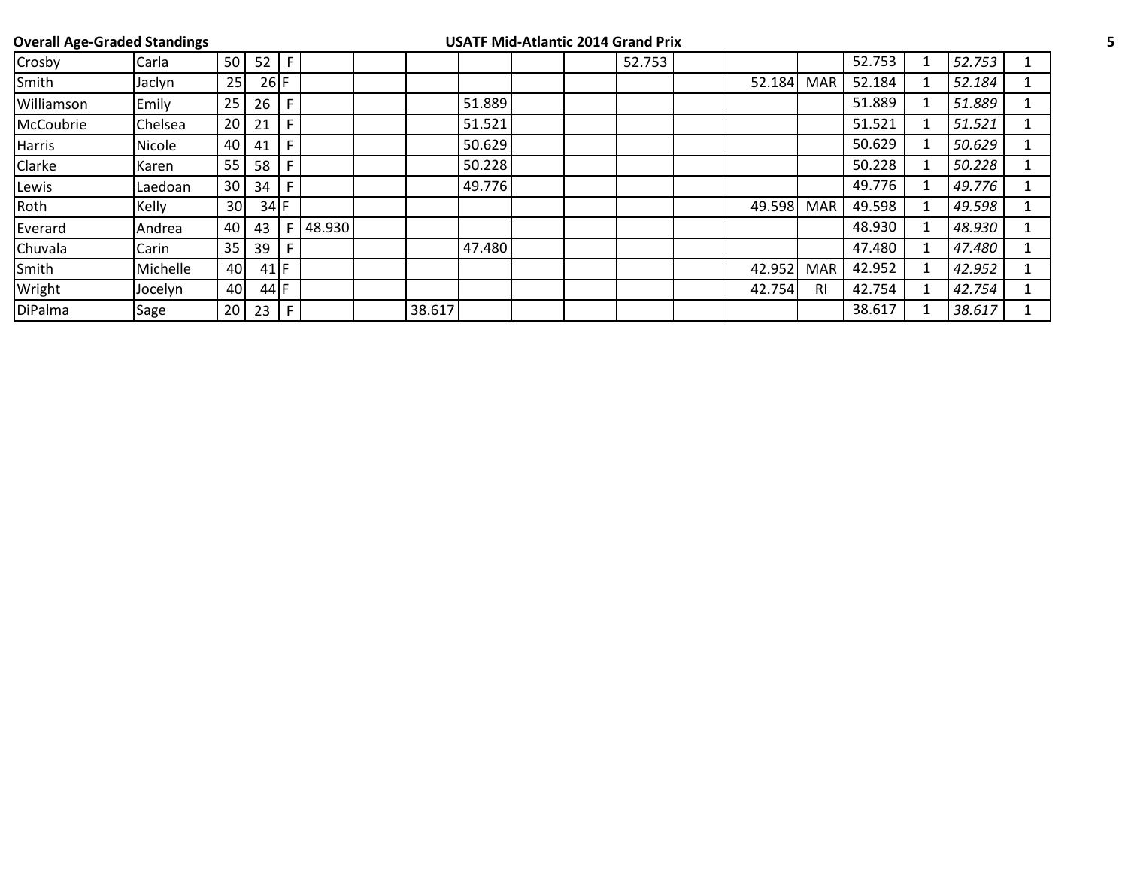|               | <b>Overall Age-Graded Standings</b> |                 |        |    |        |        |        | <b>USATF Mid-Atlantic 2014 Grand Prix</b> |        |        |                |        |        |  |
|---------------|-------------------------------------|-----------------|--------|----|--------|--------|--------|-------------------------------------------|--------|--------|----------------|--------|--------|--|
| Crosby        | Carla                               | 50              | 52     | F  |        |        |        |                                           | 52.753 |        |                | 52.753 | 52.753 |  |
| Smith         | Jaclyn                              | 25              | $26$ F |    |        |        |        |                                           |        | 52.184 | <b>MAR</b>     | 52.184 | 52.184 |  |
| Williamson    | Emily                               | 25              | 26     | F. |        |        | 51.889 |                                           |        |        |                | 51.889 | 51.889 |  |
| McCoubrie     | <b>Chelsea</b>                      | 20              | 21     | F  |        |        | 51.521 |                                           |        |        |                | 51.521 | 51.521 |  |
| Harris        | Nicole                              | 40              | 41     | F  |        |        | 50.629 |                                           |        |        |                | 50.629 | 50.629 |  |
| <b>Clarke</b> | Karen                               | 55              | 58     | F. |        |        | 50.228 |                                           |        |        |                | 50.228 | 50.228 |  |
| Lewis         | Laedoan                             | 30              | 34     | F. |        |        | 49.776 |                                           |        |        |                | 49.776 | 49.776 |  |
| Roth          | Kelly                               | 30 <sup>1</sup> | $34$ F |    |        |        |        |                                           |        | 49.598 | <b>MAR</b>     | 49.598 | 49.598 |  |
| Everard       | Andrea                              | 40              | 43     | F. | 48.930 |        |        |                                           |        |        |                | 48.930 | 48.930 |  |
| Chuvala       | Carin                               | 35              | 39     | F. |        |        | 47.480 |                                           |        |        |                | 47.480 | 47.480 |  |
| Smith         | Michelle                            | 40              | $41$ F |    |        |        |        |                                           |        | 42.952 | <b>MAR</b>     | 42.952 | 42.952 |  |
| Wright        | Jocelyn                             | 40              | 44 F   |    |        |        |        |                                           |        | 42.754 | R <sub>1</sub> | 42.754 | 42.754 |  |
| DiPalma       | Sage                                | 20              | 23     | F. |        | 38.617 |        |                                           |        |        |                | 38.617 | 38.617 |  |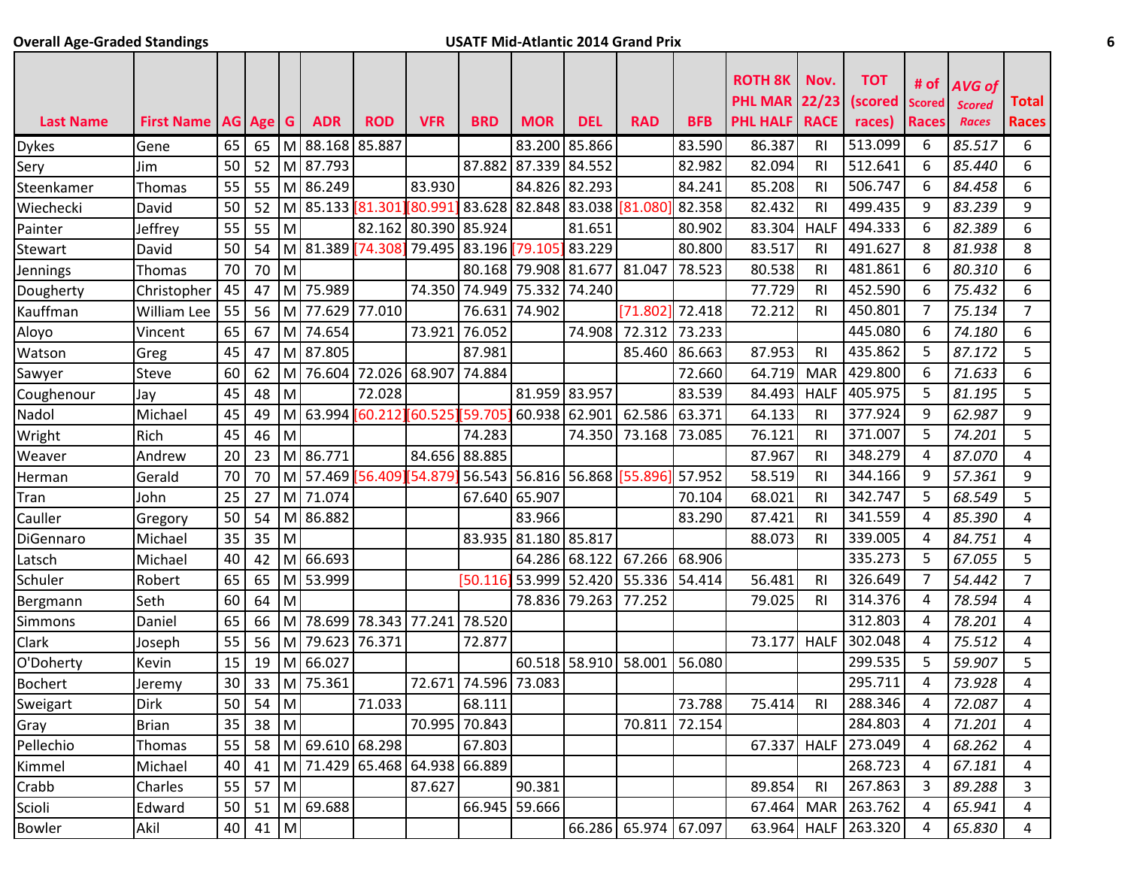## **Overall Age-Graded Standings USATF Mid-Atlantic 2014 Grand Prix 6**

|                  |                   |    |        |                |                    |                               |                      |                      |                      |               |                        |            | <b>ROTH 8K</b>                          | Nov.           | <b>TOT</b>        | # of                   | <b>AVG of</b>                 |                              |
|------------------|-------------------|----|--------|----------------|--------------------|-------------------------------|----------------------|----------------------|----------------------|---------------|------------------------|------------|-----------------------------------------|----------------|-------------------|------------------------|-------------------------------|------------------------------|
| <b>Last Name</b> | <b>First Name</b> |    | AG Age | G.             | <b>ADR</b>         | <b>ROD</b>                    | <b>VFR</b>           | <b>BRD</b>           | <b>MOR</b>           | <b>DEL</b>    | <b>RAD</b>             | <b>BFB</b> | <b>PHL MAR 22/23</b><br><b>PHL HALF</b> | <b>RACE</b>    | (scored<br>races) | Scored<br><b>Races</b> | <b>Scored</b><br><b>Races</b> | <b>Total</b><br><b>Races</b> |
| <b>Dykes</b>     | Gene              | 65 | 65     |                | M 88.168           | 85.887                        |                      |                      | 83.200               | 85.866        |                        | 83.590     | 86.387                                  | RI             | 513.099           | 6                      | 85.517                        | 6                            |
| Sery             | Jim               | 50 | 52     |                | M 87.793           |                               |                      | 87.882               | 87.339               | 84.552        |                        | 82.982     | 82.094                                  | <b>RI</b>      | 512.641           | 6                      | 85.440                        | 6                            |
| Steenkamer       | Thomas            | 55 | 55     |                | M 86.249           |                               | 83.930               |                      | 84.826 82.293        |               |                        | 84.241     | 85.208                                  | RI             | 506.747           | 6                      | 84.458                        | 6                            |
| Wiechecki        | David             | 50 | 52     |                | M 85.133           | 81.301                        | [80.99               | 83.628               | 82.848               | 83.038 81.080 |                        | 82.358     | 82.432                                  | <b>RI</b>      | 499.435           | 9                      | 83.239                        | 9                            |
| Painter          | Jeffrey           | 55 | 55     | M              |                    |                               | 82.162 80.390 85.924 |                      |                      | 81.651        |                        | 80.902     | 83.304                                  | <b>HALF</b>    | 494.333           | 6                      | 82.389                        | 6                            |
| <b>Stewart</b>   | David             | 50 | 54     | M              | 81.389             | [74.308]                      |                      | 79.495 83.196        | 79.105               | 83.229        |                        | 80.800     | 83.517                                  | <b>RI</b>      | 491.627           | 8                      | 81.938                        | 8                            |
| Jennings         | Thomas            | 70 | 70     | M              |                    |                               |                      |                      | 80.168 79.908 81.677 |               | 81.047                 | 78.523     | 80.538                                  | R <sub>l</sub> | 481.861           | 6                      | 80.310                        | 6                            |
| Dougherty        | Christopher       | 45 | 47     | M.             | 75.989             |                               |                      | 74.350 74.949        | 75.332               | 74.240        |                        |            | 77.729                                  | RI             | 452.590           | 6                      | 75.432                        | 6                            |
| Kauffman         | William Lee       | 55 | 56     | мI             | 77.629             | 77.010                        |                      | 76.631               | 74.902               |               | [71.802]               | 72.418     | 72.212                                  | RI             | 450.801           | $\overline{7}$         | 75.134                        | $\overline{7}$               |
| Aloyo            | Vincent           | 65 | 67     | мI             | 74.654             |                               | 73.921               | 76.052               |                      | 74.908        | 72.312                 | 73.233     |                                         |                | 445.080           | 6                      | 74.180                        | 6                            |
| Watson           | Greg              | 45 | 47     |                | M 87.805           |                               |                      | 87.981               |                      |               | 85.460                 | 86.663     | 87.953                                  | R <sub>l</sub> | 435.862           | 5                      | 87.172                        | 5                            |
| Sawyer           | Steve             | 60 | 62     | M              |                    | 76.604 72.026 68.907          |                      | 74.884               |                      |               |                        | 72.660     | 64.719                                  | <b>MAR</b>     | 429.800           | 6                      | 71.633                        | 6                            |
| Coughenour       | Jay               | 45 | 48     | M              |                    | 72.028                        |                      |                      | 81.959 83.957        |               |                        | 83.539     | 84.493                                  | <b>HALF</b>    | 405.975           | 5                      | 81.195                        | 5                            |
| Nadol            | Michael           | 45 | 49     | M              |                    | 63.994 60.212 60.525 59.705   |                      |                      | 60.938 62.901        |               | 62.586                 | 63.371     | 64.133                                  | <b>RI</b>      | 377.924           | 9                      | 62.987                        | 9                            |
| Wright           | Rich              | 45 | 46     | M              |                    |                               |                      | 74.283               |                      | 74.350        | 73.168                 | 73.085     | 76.121                                  | RI             | 371.007           | 5                      | 74.201                        | 5                            |
| Weaver           | Andrew            | 20 | 23     |                | M 86.771           |                               |                      | 84.656 88.885        |                      |               |                        |            | 87.967                                  | <b>RI</b>      | 348.279           | 4                      | 87.070                        | 4                            |
| Herman           | Gerald            | 70 | 70     | M              |                    | 57.469 56.409 54.87           |                      | 56.543               |                      |               | 56.816 56.868 [55.896] | 57.952     | 58.519                                  | RI             | 344.166           | 9                      | 57.361                        | 9                            |
| Tran             | John              | 25 | 27     | M              | 71.074             |                               |                      | 67.640               | 65.907               |               |                        | 70.104     | 68.021                                  | RI             | 342.747           | 5                      | 68.549                        | 5                            |
| Cauller          | Gregory           | 50 | 54     |                | M 86.882           |                               |                      |                      | 83.966               |               |                        | 83.290     | 87.421                                  | RI             | 341.559           | 4                      | 85.390                        | 4                            |
| DiGennaro        | Michael           | 35 | 35     | M              |                    |                               |                      | 83.935               | 81.180 85.817        |               |                        |            | 88.073                                  | RI             | 339.005           | 4                      | 84.751                        | 4                            |
| Latsch           | Michael           | 40 | 42     |                | M 66.693           |                               |                      |                      | 64.286 68.122        |               | 67.266                 | 68.906     |                                         |                | 335.273           | 5                      | 67.055                        | 5                            |
| Schuler          | Robert            | 65 | 65     |                | M 53.999           |                               |                      | [50.116]             |                      | 53.999 52.420 | 55.336                 | 54.414     | 56.481                                  | RI             | 326.649           | 7                      | 54.442                        | 7                            |
| Bergmann         | Seth              | 60 | 64     | M              |                    |                               |                      |                      | 78.836               | 79.263        | 77.252                 |            | 79.025                                  | RI             | 314.376           | 4                      | 78.594                        | 4                            |
| <b>Simmons</b>   | Daniel            | 65 | 66     | M              |                    | 78.699 78.343                 | 77.241 78.520        |                      |                      |               |                        |            |                                         |                | 312.803           | 4                      | 78.201                        | 4                            |
| Clark            | Joseph            | 55 | 56     | M <sup>1</sup> | 79.623             | 76.371                        |                      | 72.877               |                      |               |                        |            | 73.177                                  | <b>HALF</b>    | 302.048           | 4                      | 75.512                        | 4                            |
| O'Doherty        | Kevin             | 15 | 19     | M              | 66.027             |                               |                      |                      |                      | 60.518 58.910 | 58.001                 | 56.080     |                                         |                | 299.535           | 5                      | 59.907                        | 5                            |
| <b>Bochert</b>   | Jeremy            | 30 | 33     |                | M 75.361           |                               |                      | 72.671 74.596 73.083 |                      |               |                        |            |                                         |                | 295.711           | Δ                      | 73.928                        | 4                            |
| Sweigart         | <b>Dirk</b>       | 50 | 54 M   |                |                    | 71.033                        |                      | 68.111               |                      |               |                        | 73.788     | 75.414                                  | <b>RI</b>      | 288.346           | 4                      | 72.087                        | 4                            |
| Gray             | <b>Brian</b>      | 35 | 38     | M              |                    |                               |                      | 70.995 70.843        |                      |               | 70.811                 | 72.154     |                                         |                | 284.803           | 4                      | 71.201                        | 4                            |
| Pellechio        | Thomas            | 55 |        |                | 58 M 69.610 68.298 |                               |                      | 67.803               |                      |               |                        |            | 67.337                                  | <b>HALF</b>    | 273.049           | 4                      | 68.262                        | 4                            |
| Kimmel           | Michael           | 40 | 41     |                |                    | M 71.429 65.468 64.938 66.889 |                      |                      |                      |               |                        |            |                                         |                | 268.723           | 4                      | 67.181                        | 4                            |
| Crabb            | Charles           | 55 | 57     | $\blacksquare$ |                    |                               | 87.627               |                      | 90.381               |               |                        |            | 89.854                                  | R <sub>l</sub> | 267.863           | 3                      | 89.288                        | 3                            |
| Scioli           | Edward            | 50 | 51     |                | M 69.688           |                               |                      |                      | 66.945 59.666        |               |                        |            | 67.464 MAR                              |                | 263.762           | 4                      | 65.941                        | 4                            |
| <b>Bowler</b>    | Akil              | 40 | 41 M   |                |                    |                               |                      |                      |                      |               | 66.286 65.974 67.097   |            | 63.964                                  | <b>HALF</b>    | 263.320           | 4                      | 65.830                        | 4                            |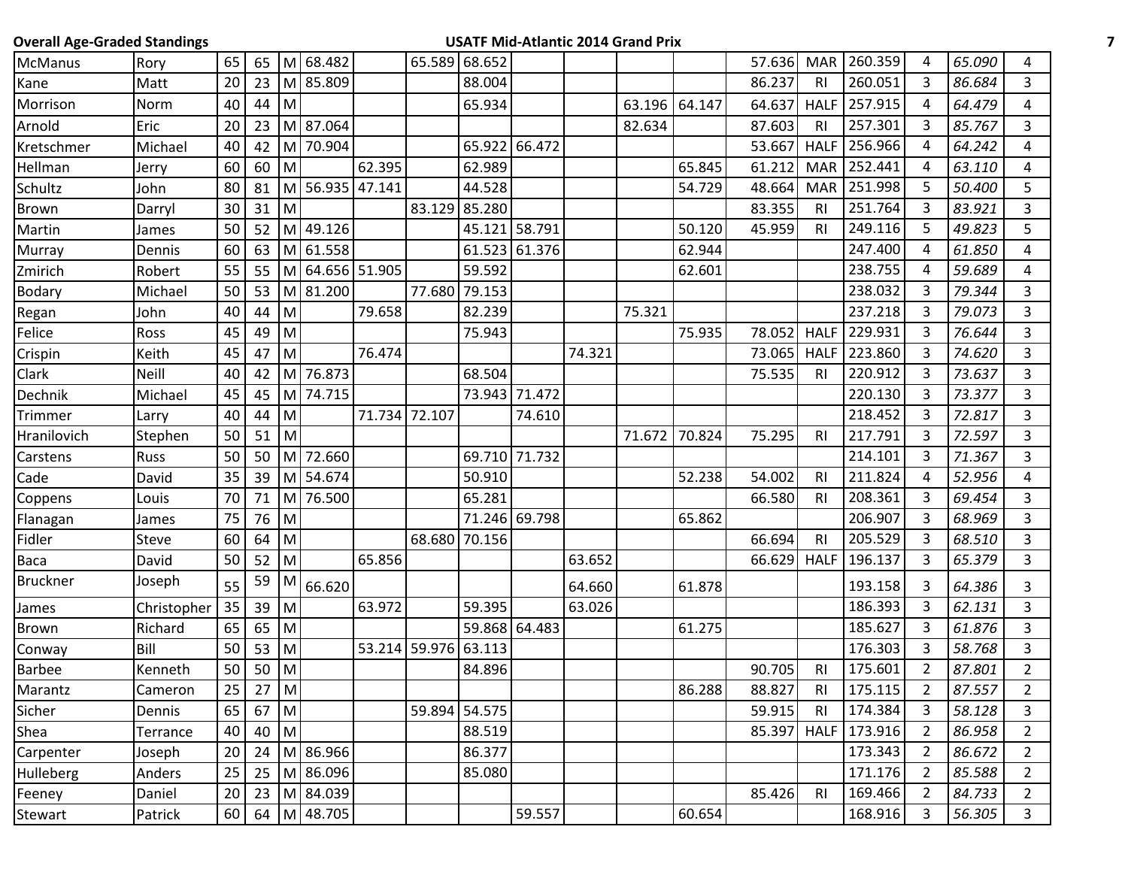| <b>Overall Age-Graded Standings</b> |              |    |             |           |                 |        |               |               |               |        | <b>USATF Mid-Atlantic 2014 Grand Prix</b> |               |        |                |              |                |        |                |
|-------------------------------------|--------------|----|-------------|-----------|-----------------|--------|---------------|---------------|---------------|--------|-------------------------------------------|---------------|--------|----------------|--------------|----------------|--------|----------------|
| McManus                             | Rory         | 65 |             |           | 65 M 68.482     |        |               | 65.589 68.652 |               |        |                                           |               | 57.636 | <b>MAR</b>     | 260.359      | 4              | 65.090 | 4              |
| Kane                                | Matt         | 20 | 23          |           | M 85.809        |        |               | 88.004        |               |        |                                           |               | 86.237 | R <sub>l</sub> | 260.051      | $\overline{3}$ | 86.684 | 3              |
| Morrison                            | Norm         | 40 | 44          | M         |                 |        |               | 65.934        |               |        | 63.196 64.147                             |               | 64.637 | <b>HALF</b>    | 257.915      | 4              | 64.479 | 4              |
| Arnold                              | Eric         | 20 | 23          |           | M 87.064        |        |               |               |               |        | 82.634                                    |               | 87.603 | R <sub>l</sub> | 257.301      | 3              | 85.767 | 3              |
| Kretschmer                          | Michael      | 40 | 42          |           | M 70.904        |        |               |               | 65.922 66.472 |        |                                           |               | 53.667 | <b>HALF</b>    | 256.966      | 4              | 64.242 | 4              |
| Hellman                             | Jerry        | 60 | 60          | M         |                 | 62.395 |               | 62.989        |               |        |                                           | 65.845        | 61.212 |                | MAR 252.441  | 4              | 63.110 | 4              |
| Schultz                             | John         | 80 | 81          | м         | 56.935 47.141   |        |               | 44.528        |               |        |                                           | 54.729        | 48.664 | <b>MAR</b>     | 251.998      | 5              | 50.400 | 5              |
| Brown                               | Darryl       | 30 | 31          | M         |                 |        |               | 83.129 85.280 |               |        |                                           |               | 83.355 | R <sub>l</sub> | 251.764      | 3              | 83.921 | $\mathbf{3}$   |
| Martin                              | James        | 50 | 52          | M         | 49.126          |        |               |               | 45.121 58.791 |        |                                           | 50.120        | 45.959 | R <sub>l</sub> | 249.116      | 5              | 49.823 | 5              |
| Murray                              | Dennis       | 60 | 63          |           | M 61.558        |        |               |               | 61.523 61.376 |        |                                           | 62.944        |        |                | 247.400      | 4              | 61.850 | 4              |
| Zmirich                             | Robert       | 55 | 55          |           | M 64.656 51.905 |        |               | 59.592        |               |        |                                           | 62.601        |        |                | 238.755      | 4              | 59.689 | 4              |
| <b>Bodary</b>                       | Michael      | 50 | 53          |           | M 81.200        |        | 77.680        | 79.153        |               |        |                                           |               |        |                | 238.032      | 3              | 79.344 | 3              |
| Regan                               | John         | 40 | 44          | M         |                 | 79.658 |               | 82.239        |               |        | 75.321                                    |               |        |                | 237.218      | $\mathbf{3}$   | 79.073 | $\overline{3}$ |
| Felice                              | Ross         | 45 | 49          | M         |                 |        |               | 75.943        |               |        |                                           | 75.935        | 78.052 | <b>HALF</b>    | 229.931      | 3              | 76.644 | 3              |
| Crispin                             | Keith        | 45 | 47          | M         |                 | 76.474 |               |               |               | 74.321 |                                           |               | 73.065 | <b>HALF</b>    | 223.860      | 3              | 74.620 | 3              |
| Clark                               | Neill        | 40 | 42          |           | M 76.873        |        |               | 68.504        |               |        |                                           |               | 75.535 | <b>RI</b>      | 220.912      | 3              | 73.637 | $\overline{3}$ |
| Dechnik                             | Michael      | 45 | 45          |           | M 74.715        |        |               |               | 73.943 71.472 |        |                                           |               |        |                | 220.130      | 3              | 73.377 | 3              |
| Trimmer                             | Larry        | 40 | 44          | M         |                 |        | 71.734 72.107 |               | 74.610        |        |                                           |               |        |                | 218.452      | 3              | 72.817 | $\overline{3}$ |
| Hranilovich                         | Stephen      | 50 | 51          | M         |                 |        |               |               |               |        |                                           | 71.672 70.824 | 75.295 | R <sub>l</sub> | 217.791      | 3              | 72.597 | $\overline{3}$ |
| Carstens                            | <b>Russ</b>  | 50 | 50          | M         | 72.660          |        |               |               | 69.710 71.732 |        |                                           |               |        |                | 214.101      | $\mathbf{3}$   | 71.367 | 3              |
| Cade                                | David        | 35 | 39          | M         | 54.674          |        |               | 50.910        |               |        |                                           | 52.238        | 54.002 | R <sub>l</sub> | 211.824      | 4              | 52.956 | 4              |
| Coppens                             | Louis        | 70 | 71          |           | M 76.500        |        |               | 65.281        |               |        |                                           |               | 66.580 | <b>RI</b>      | 208.361      | 3              | 69.454 | $\mathbf{3}$   |
| Flanagan                            | James        | 75 | 76          | M         |                 |        |               |               | 71.246 69.798 |        |                                           | 65.862        |        |                | 206.907      | 3              | 68.969 | 3              |
| Fidler                              | <b>Steve</b> | 60 | 64          | M         |                 |        |               | 68.680 70.156 |               |        |                                           |               | 66.694 | R <sub>l</sub> | 205.529      | 3              | 68.510 | 3              |
| Baca                                | David        | 50 | 52          | ${\sf M}$ |                 | 65.856 |               |               |               | 63.652 |                                           |               | 66.629 | <b>HALF</b>    | 196.137      | $\mathbf{3}$   | 65.379 | $\overline{3}$ |
| Bruckner                            | Joseph       | 55 | 59          | M         | 66.620          |        |               |               |               | 64.660 |                                           | 61.878        |        |                | 193.158      | 3              | 64.386 | 3              |
| James                               | Christopher  | 35 | 39          | M         |                 | 63.972 |               | 59.395        |               | 63.026 |                                           |               |        |                | 186.393      | 3              | 62.131 | 3              |
| Brown                               | Richard      | 65 | 65          | M         |                 |        |               |               | 59.868 64.483 |        |                                           | 61.275        |        |                | 185.627      | $\mathbf{3}$   | 61.876 | $\overline{3}$ |
| Conway                              | Bill         | 50 | 53          | M         |                 | 53.214 | 59.976        | 63.113        |               |        |                                           |               |        |                | 176.303      | 3              | 58.768 | 3              |
| Barbee                              | Kenneth      | 50 | $50 \mid M$ |           |                 |        |               | 84.896        |               |        |                                           |               | 90.705 | RI             | 175.601      | $\overline{2}$ | 87.801 | $\overline{2}$ |
| Marantz                             | Cameron      | 25 | $27$ M      |           |                 |        |               |               |               |        |                                           | 86.288        | 88.827 | <b>RI</b>      | 175.115      | $\overline{2}$ | 87.557 | $\overline{2}$ |
| Sicher                              | Dennis       | 65 | 67 M        |           |                 |        |               | 59.894 54.575 |               |        |                                           |               | 59.915 | <b>RI</b>      | 174.384      | 3              | 58.128 | 3              |
| Shea                                | Terrance     | 40 | 40 M        |           |                 |        |               | 88.519        |               |        |                                           |               | 85.397 |                | HALF 173.916 | $\overline{2}$ | 86.958 | $2^{\circ}$    |
| Carpenter                           | Joseph       | 20 | 24          |           | M 86.966        |        |               | 86.377        |               |        |                                           |               |        |                | 173.343      | $\overline{2}$ | 86.672 | $\overline{2}$ |
| Hulleberg                           | Anders       | 25 | 25          |           | M 86.096        |        |               | 85.080        |               |        |                                           |               |        |                | 171.176      | $\overline{2}$ | 85.588 | $\overline{2}$ |
| Feeney                              | Daniel       | 20 | 23          |           | M 84.039        |        |               |               |               |        |                                           |               | 85.426 | RI             | 169.466      | $\mathbf{2}$   | 84.733 | $\overline{2}$ |
| Stewart                             | Patrick      |    |             |           | 60 64 M 48.705  |        |               |               | 59.557        |        |                                           | 60.654        |        |                | 168.916      | 3              | 56.305 | 3 <sup>1</sup> |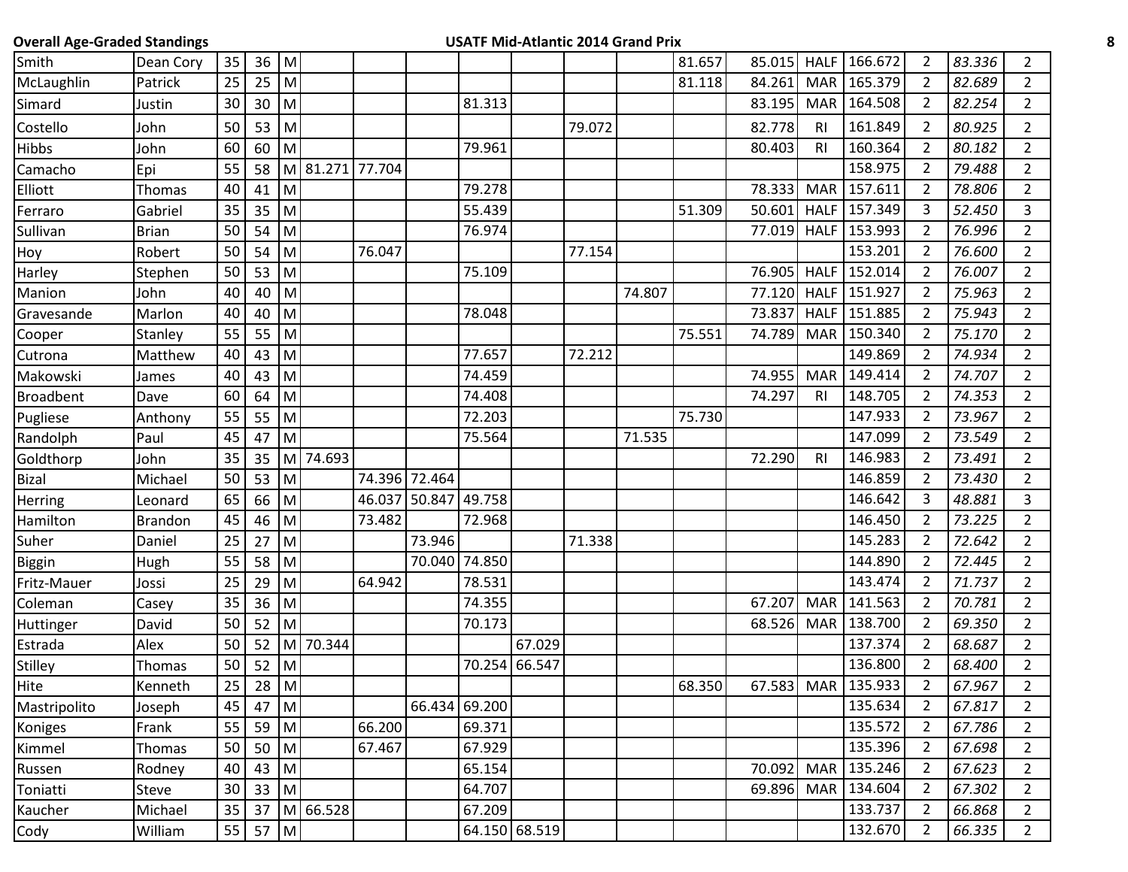| <b>Overall Age-Graded Standings</b> |                |                 |        |                                                                                                            |                 |        |               |               |               |        | <b>USATF Mid-Atlantic 2014 Grand Prix</b> |        |        |                |              |                |        |                |
|-------------------------------------|----------------|-----------------|--------|------------------------------------------------------------------------------------------------------------|-----------------|--------|---------------|---------------|---------------|--------|-------------------------------------------|--------|--------|----------------|--------------|----------------|--------|----------------|
| Smith                               | Dean Cory      | 35              | $36$ M |                                                                                                            |                 |        |               |               |               |        |                                           | 81.657 | 85.015 | <b>HALF</b>    | 166.672      | 2              | 83.336 | $2^{\circ}$    |
| McLaughlin                          | Patrick        | 25              | 25     | M                                                                                                          |                 |        |               |               |               |        |                                           | 81.118 | 84.261 | <b>MAR</b>     | 165.379      | $\overline{2}$ | 82.689 | $\overline{2}$ |
| Simard                              | Justin         | 30              | 30     | M                                                                                                          |                 |        |               | 81.313        |               |        |                                           |        | 83.195 | <b>MAR</b>     | 164.508      | 2              | 82.254 | $\overline{2}$ |
| Costello                            | John           | 50              | 53     | M                                                                                                          |                 |        |               |               |               | 79.072 |                                           |        | 82.778 | R <sub>l</sub> | 161.849      | 2              | 80.925 | $\overline{2}$ |
| Hibbs                               | John           | 60              | 60     | M                                                                                                          |                 |        |               | 79.961        |               |        |                                           |        | 80.403 | R <sub>l</sub> | 160.364      | $\overline{2}$ | 80.182 | $\overline{2}$ |
| Camacho                             | Epi            | 55              | 58     |                                                                                                            | M 81.271 77.704 |        |               |               |               |        |                                           |        |        |                | 158.975      | 2              | 79.488 | $\overline{2}$ |
| Elliott                             | Thomas         | 40              | 41     | M                                                                                                          |                 |        |               | 79.278        |               |        |                                           |        | 78.333 | <b>MAR</b>     | 157.611      | 2              | 78.806 | $\overline{2}$ |
| Ferraro                             | Gabriel        | 35              | 35     | M                                                                                                          |                 |        |               | 55.439        |               |        |                                           | 51.309 | 50.601 | <b>HALF</b>    | 157.349      | 3              | 52.450 | 3              |
| Sullivan                            | <b>Brian</b>   | 50              | 54     | M                                                                                                          |                 |        |               | 76.974        |               |        |                                           |        | 77.019 | <b>HALF</b>    | 153.993      | 2              | 76.996 | $\overline{2}$ |
| Hoy                                 | Robert         | 50              | 54     | M                                                                                                          |                 | 76.047 |               |               |               | 77.154 |                                           |        |        |                | 153.201      | $\overline{2}$ | 76.600 | $\overline{2}$ |
| Harley                              | Stephen        | 50              | 53     | M                                                                                                          |                 |        |               | 75.109        |               |        |                                           |        | 76.905 | <b>HALF</b>    | 152.014      | $\overline{2}$ | 76.007 | $\overline{2}$ |
| Manion                              | John           | 40              | 40     | M                                                                                                          |                 |        |               |               |               |        | 74.807                                    |        | 77.120 | <b>HALF</b>    | 151.927      | $\overline{2}$ | 75.963 | $\overline{2}$ |
| Gravesande                          | Marlon         | 40              | 40     | M                                                                                                          |                 |        |               | 78.048        |               |        |                                           |        | 73.837 |                | HALF 151.885 | 2              | 75.943 | $\overline{2}$ |
| Cooper                              | Stanley        | 55              | 55     | M                                                                                                          |                 |        |               |               |               |        |                                           | 75.551 | 74.789 | <b>MAR</b>     | 150.340      | $\overline{2}$ | 75.170 | $\overline{2}$ |
| Cutrona                             | Matthew        | 40              | 43     | M                                                                                                          |                 |        |               | 77.657        |               | 72.212 |                                           |        |        |                | 149.869      | $\overline{2}$ | 74.934 | $\overline{2}$ |
| Makowski                            | James          | 40              | 43     | M                                                                                                          |                 |        |               | 74.459        |               |        |                                           |        | 74.955 | <b>MAR</b>     | 149.414      | 2              | 74.707 | $\overline{2}$ |
| <b>Broadbent</b>                    | Dave           | 60              | 64     | M                                                                                                          |                 |        |               | 74.408        |               |        |                                           |        | 74.297 | R <sub>l</sub> | 148.705      | $\overline{2}$ | 74.353 | $\overline{2}$ |
| Pugliese                            | Anthony        | 55              | 55     | M                                                                                                          |                 |        |               | 72.203        |               |        |                                           | 75.730 |        |                | 147.933      | $\overline{2}$ | 73.967 | $\overline{2}$ |
| Randolph                            | Paul           | 45              | 47     | M                                                                                                          |                 |        |               | 75.564        |               |        | 71.535                                    |        |        |                | 147.099      | 2              | 73.549 | $\overline{2}$ |
| Goldthorp                           | John           | 35              | 35     |                                                                                                            | M 74.693        |        |               |               |               |        |                                           |        | 72.290 | R <sub>l</sub> | 146.983      | $\overline{2}$ | 73.491 | $\overline{2}$ |
| <b>Bizal</b>                        | Michael        | 50              | 53     | M                                                                                                          |                 |        | 74.396 72.464 |               |               |        |                                           |        |        |                | 146.859      | 2              | 73.430 | $\overline{2}$ |
| Herring                             | Leonard        | 65              | 66     | M                                                                                                          |                 | 46.037 | 50.847        | 49.758        |               |        |                                           |        |        |                | 146.642      | 3              | 48.881 | 3              |
| Hamilton                            | <b>Brandon</b> | 45              | 46     | M                                                                                                          |                 | 73.482 |               | 72.968        |               |        |                                           |        |        |                | 146.450      | 2              | 73.225 | $\overline{2}$ |
| Suher                               | Daniel         | 25              | 27     | M                                                                                                          |                 |        | 73.946        |               |               | 71.338 |                                           |        |        |                | 145.283      | $\overline{2}$ | 72.642 | $\overline{2}$ |
| Biggin                              | Hugh           | 55              | 58     | M                                                                                                          |                 |        |               | 70.040 74.850 |               |        |                                           |        |        |                | 144.890      | 2              | 72.445 | $\overline{2}$ |
| Fritz-Mauer                         | Jossi          | 25              | 29     | M                                                                                                          |                 | 64.942 |               | 78.531        |               |        |                                           |        |        |                | 143.474      | 2              | 71.737 | $\overline{2}$ |
| Coleman                             | Casey          | 35              | 36     | M                                                                                                          |                 |        |               | 74.355        |               |        |                                           |        | 67.207 | <b>MAR</b>     | 141.563      | $\overline{2}$ | 70.781 | $\overline{2}$ |
| Huttinger                           | David          | 50              | 52     | M                                                                                                          |                 |        |               | 70.173        |               |        |                                           |        | 68.526 | <b>MAR</b>     | 138.700      | $\overline{2}$ | 69.350 | $\overline{2}$ |
| Estrada                             | Alex           | 50              | 52     | M                                                                                                          | 70.344          |        |               |               | 67.029        |        |                                           |        |        |                | 137.374      | $\overline{2}$ | 68.687 | $\overline{2}$ |
| <b>Stilley</b>                      | Thomas         | 50 <sub>1</sub> | $52$ M |                                                                                                            |                 |        |               |               | 70.254 66.547 |        |                                           |        |        |                | 136.800      | $\overline{2}$ | 68.400 | $\overline{2}$ |
| Hite                                | Kenneth        | 25              | $28$ M |                                                                                                            |                 |        |               |               |               |        |                                           | 68.350 | 67.583 | <b>MAR</b>     | 135.933      | $\overline{2}$ | 67.967 | $\overline{2}$ |
| Mastripolito                        | Joseph         | 45              | 47     | $\mathsf{M}% _{T}=\mathsf{M}_{T}\!\left( a,b\right) ,\ \mathsf{M}_{T}=\mathsf{M}_{T}$                      |                 |        |               | 66.434 69.200 |               |        |                                           |        |        |                | 135.634      | $\overline{2}$ | 67.817 | $\overline{2}$ |
| Koniges                             | Frank          | 55              | 59     | ${\sf M}$                                                                                                  |                 | 66.200 |               | 69.371        |               |        |                                           |        |        |                | 135.572      | $\overline{2}$ | 67.786 | $\overline{2}$ |
| Kimmel                              | Thomas         | 50              | 50     | $\mathsf{M}% _{T}=\mathsf{M}_{T}\!\left( a,b\right) ,\ \mathsf{M}_{T}=\mathsf{M}_{T}\!\left( a,b\right) ,$ |                 | 67.467 |               | 67.929        |               |        |                                           |        |        |                | 135.396      | $\overline{2}$ | 67.698 | $\overline{2}$ |
| Russen                              | Rodney         | 40              | 43     | $\mathsf{M}% _{T}=\mathsf{M}_{T}\!\left( a,b\right) ,\ \mathsf{M}_{T}=\mathsf{M}_{T}\!\left( a,b\right) ,$ |                 |        |               | 65.154        |               |        |                                           |        | 70.092 | <b>MAR</b>     | 135.246      | $\overline{2}$ | 67.623 | $\overline{2}$ |
| Toniatti                            | <b>Steve</b>   | 30              | 33     | $\mathsf{M}% _{T}=\mathsf{M}_{T}\!\left( a,b\right) ,\ \mathsf{M}_{T}=\mathsf{M}_{T}$                      |                 |        |               | 64.707        |               |        |                                           |        | 69.896 | <b>MAR</b>     | 134.604      | $\overline{2}$ | 67.302 | $2^{\circ}$    |
| Kaucher                             | Michael        | 35              |        |                                                                                                            | 37 M 66.528     |        |               | 67.209        |               |        |                                           |        |        |                | 133.737      | $\overline{2}$ | 66.868 | $2^{\circ}$    |
| Cody                                | William        | 55              | 57 M   |                                                                                                            |                 |        |               |               | 64.150 68.519 |        |                                           |        |        |                | 132.670      | $\overline{2}$ | 66.335 | $\overline{2}$ |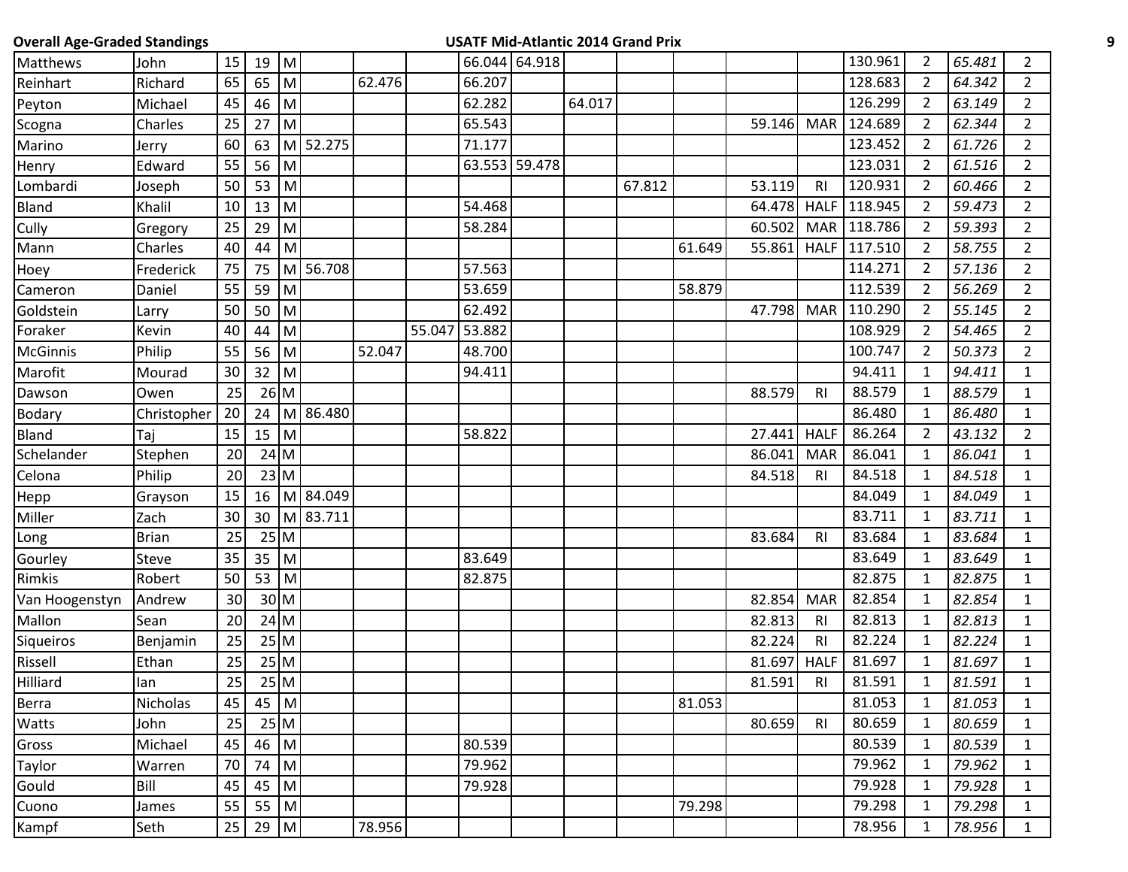| <b>Overall Age-Graded Standings</b> |              |    |        |           |          |        |               |               |        | <b>USATF Mid-Atlantic 2014 Grand Prix</b> |        |        |                |             |                |        |                |
|-------------------------------------|--------------|----|--------|-----------|----------|--------|---------------|---------------|--------|-------------------------------------------|--------|--------|----------------|-------------|----------------|--------|----------------|
| Matthews                            | John         | 15 | $19$ M |           |          |        |               | 66.044 64.918 |        |                                           |        |        |                | 130.961     | $\mathbf{2}$   | 65.481 | $\overline{2}$ |
| Reinhart                            | Richard      | 65 | 65     | M         |          | 62.476 | 66.207        |               |        |                                           |        |        |                | 128.683     | $\overline{2}$ | 64.342 | $\overline{2}$ |
| Peyton                              | Michael      | 45 | 46     | M         |          |        | 62.282        |               | 64.017 |                                           |        |        |                | 126.299     | $\overline{2}$ | 63.149 | $2^{\circ}$    |
| Scogna                              | Charles      | 25 | 27     | M         |          |        | 65.543        |               |        |                                           |        | 59.146 | <b>MAR</b>     | 124.689     | $\overline{2}$ | 62.344 | $\overline{2}$ |
| Marino                              | Jerry        | 60 | 63     |           | M 52.275 |        | 71.177        |               |        |                                           |        |        |                | 123.452     | $\overline{2}$ | 61.726 | $\overline{2}$ |
| Henry                               | Edward       | 55 | 56     | ${\sf M}$ |          |        |               | 63.553 59.478 |        |                                           |        |        |                | 123.031     | $\overline{2}$ | 61.516 | $\overline{2}$ |
| Lombardi                            | Joseph       | 50 | 53     | ${\sf M}$ |          |        |               |               |        | 67.812                                    |        | 53.119 | R <sub>l</sub> | 120.931     | $\overline{2}$ | 60.466 | $\overline{2}$ |
| Bland                               | Khalil       | 10 | 13     | M         |          |        | 54.468        |               |        |                                           |        | 64.478 | <b>HALF</b>    | 118.945     | $\overline{2}$ | 59.473 | $2^{\circ}$    |
| Cully                               | Gregory      | 25 | 29     | M         |          |        | 58.284        |               |        |                                           |        | 60.502 |                | MAR 118.786 | $\overline{2}$ | 59.393 | $\overline{2}$ |
| Mann                                | Charles      | 40 | 44     | M         |          |        |               |               |        |                                           | 61.649 | 55.861 | <b>HALF</b>    | 117.510     | $\overline{2}$ | 58.755 | $\overline{2}$ |
| Hoey                                | Frederick    | 75 | 75     |           | M 56.708 |        | 57.563        |               |        |                                           |        |        |                | 114.271     | $\overline{2}$ | 57.136 | $\overline{2}$ |
| Cameron                             | Daniel       | 55 | 59     | M         |          |        | 53.659        |               |        |                                           | 58.879 |        |                | 112.539     | $\overline{2}$ | 56.269 | $\overline{2}$ |
| Goldstein                           | Larry        | 50 | 50     | M         |          |        | 62.492        |               |        |                                           |        | 47.798 |                | MAR 110.290 | $\overline{2}$ | 55.145 | $\overline{2}$ |
| Foraker                             | Kevin        | 40 | 44     | M         |          |        | 55.047 53.882 |               |        |                                           |        |        |                | 108.929     | $\overline{2}$ | 54.465 | $\overline{2}$ |
| McGinnis                            | Philip       | 55 | 56     | M         |          | 52.047 | 48.700        |               |        |                                           |        |        |                | 100.747     | $\overline{2}$ | 50.373 | $2^{\circ}$    |
| Marofit                             | Mourad       | 30 | $32$ M |           |          |        | 94.411        |               |        |                                           |        |        |                | 94.411      | $\mathbf{1}$   | 94.411 | $\mathbf{1}$   |
| Dawson                              | Owen         | 25 |        | $26$ M    |          |        |               |               |        |                                           |        | 88.579 | <b>RI</b>      | 88.579      | 1              | 88.579 | $\mathbf{1}$   |
| Bodary                              | Christopher  | 20 | 24     |           | M 86.480 |        |               |               |        |                                           |        |        |                | 86.480      | $\mathbf{1}$   | 86.480 | $\mathbf{1}$   |
| Bland                               | Taj          | 15 | 15     | M         |          |        | 58.822        |               |        |                                           |        | 27.441 | <b>HALF</b>    | 86.264      | $\overline{2}$ | 43.132 | $\overline{2}$ |
| Schelander                          | Stephen      | 20 |        | $24$ M    |          |        |               |               |        |                                           |        | 86.041 | <b>MAR</b>     | 86.041      | $\mathbf{1}$   | 86.041 | $\mathbf{1}$   |
| Celona                              | Philip       | 20 |        | 23 M      |          |        |               |               |        |                                           |        | 84.518 | <b>RI</b>      | 84.518      | $\mathbf{1}$   | 84.518 | $\mathbf{1}$   |
| Hepp                                | Grayson      | 15 | 16     |           | M 84.049 |        |               |               |        |                                           |        |        |                | 84.049      | 1              | 84.049 | $\mathbf{1}$   |
| Miller                              | Zach         | 30 | 30     |           | M 83.711 |        |               |               |        |                                           |        |        |                | 83.711      | $\mathbf{1}$   | 83.711 | $\mathbf{1}$   |
| Long                                | <b>Brian</b> | 25 |        | 25M       |          |        |               |               |        |                                           |        | 83.684 | RI             | 83.684      | 1              | 83.684 | $\mathbf{1}$   |
| Gourley                             | <b>Steve</b> | 35 | 35     | ${\sf M}$ |          |        | 83.649        |               |        |                                           |        |        |                | 83.649      | $\mathbf{1}$   | 83.649 | $\mathbf{1}$   |
| Rimkis                              | Robert       | 50 | 53     | M         |          |        | 82.875        |               |        |                                           |        |        |                | 82.875      | $\mathbf{1}$   | 82.875 | $\mathbf{1}$   |
| Van Hoogenstyn                      | Andrew       | 30 |        | $30$ M    |          |        |               |               |        |                                           |        | 82.854 | <b>MAR</b>     | 82.854      | $\mathbf{1}$   | 82.854 | $\mathbf{1}$   |
| Mallon                              | Sean         | 20 |        | $24$ M    |          |        |               |               |        |                                           |        | 82.813 | R <sub>l</sub> | 82.813      | $\mathbf{1}$   | 82.813 | $\mathbf{1}$   |
| Siqueiros                           | Benjamin     | 25 |        | 25M       |          |        |               |               |        |                                           |        | 82.224 | RI             | 82.224      | 1              | 82.224 | $\mathbf{1}$   |
| Rissell                             | Ethan        | 25 |        | 25M       |          |        |               |               |        |                                           |        | 81.697 | <b>HALF</b>    | 81.697      | $\mathbf{1}$   | 81.697 | $\mathbf{1}$   |
| <b>Hilliard</b>                     | lan          | 25 |        | $25$ M    |          |        |               |               |        |                                           |        | 81.591 | R <sub>l</sub> | 81.591      | 1              | 81.591 | $\mathbf{1}$   |
| Berra                               | Nicholas     | 45 | $45$ M |           |          |        |               |               |        |                                           | 81.053 |        |                | 81.053      | $\mathbf{1}$   | 81.053 | $\mathbf{1}$   |
| Watts                               | John         | 25 |        | $25$ M    |          |        |               |               |        |                                           |        | 80.659 | R <sub>l</sub> | 80.659      | $\mathbf{1}$   | 80.659 | $\mathbf{1}$   |
| Gross                               | Michael      | 45 | 46     | M         |          |        | 80.539        |               |        |                                           |        |        |                | 80.539      | $\mathbf{1}$   | 80.539 | $\mathbf{1}$   |
| Taylor                              | Warren       | 70 | 74     | M         |          |        | 79.962        |               |        |                                           |        |        |                | 79.962      | 1              | 79.962 | $\mathbf{1}$   |
| Gould                               | Bill         | 45 | 45     | M         |          |        | 79.928        |               |        |                                           |        |        |                | 79.928      | 1              | 79.928 | $\mathbf{1}$   |
| Cuono                               | James        | 55 | 55     | M         |          |        |               |               |        |                                           | 79.298 |        |                | 79.298      | $\mathbf{1}$   | 79.298 | $\mathbf{1}$   |
| Kampf                               | Seth         | 25 | 29     | ${\sf M}$ |          | 78.956 |               |               |        |                                           |        |        |                | 78.956      | 1              | 78.956 | $\mathbf{1}$   |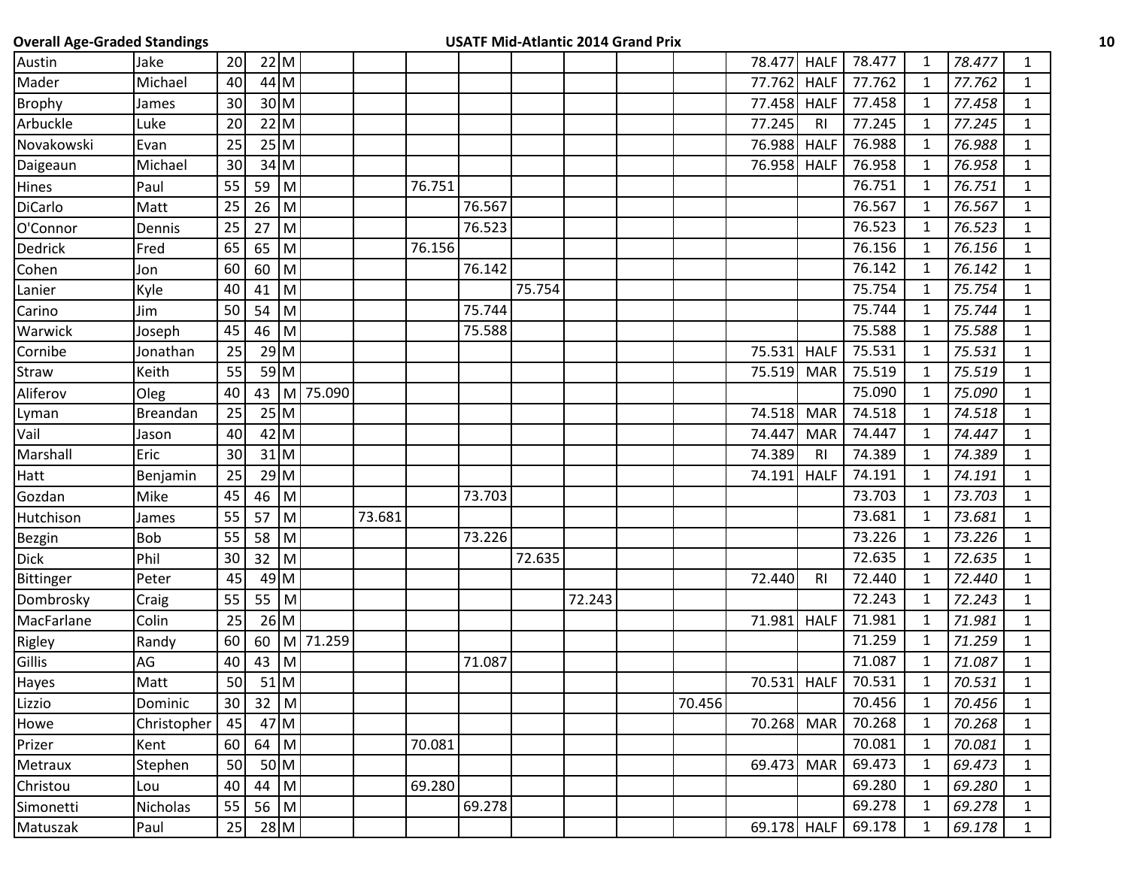| <b>Overall Age-Graded Standings</b> |             |                 |             |             |             |        |        |        |        | <b>USATF Mid-Atlantic 2014 Grand Prix</b> |        |             |                |        |              |        |              | 10 |
|-------------------------------------|-------------|-----------------|-------------|-------------|-------------|--------|--------|--------|--------|-------------------------------------------|--------|-------------|----------------|--------|--------------|--------|--------------|----|
| Austin                              | Jake        | 20              |             | $22$ M      |             |        |        |        |        |                                           |        | 78.477      | <b>HALF</b>    | 78.477 | 1            | 78.477 | $\mathbf{1}$ |    |
| Mader                               | Michael     | 40              |             | 44 M        |             |        |        |        |        |                                           |        | 77.762      | <b>HALF</b>    | 77.762 | $\mathbf{1}$ | 77.762 | 1            |    |
| <b>Brophy</b>                       | James       | 30              |             | 30 M        |             |        |        |        |        |                                           |        | 77.458      | <b>HALF</b>    | 77.458 | -1           | 77.458 | 1            |    |
| Arbuckle                            | Luke        | 20              |             | $22$ M      |             |        |        |        |        |                                           |        | 77.245      | R <sub>l</sub> | 77.245 | $\mathbf{1}$ | 77.245 | $\mathbf{1}$ |    |
| Novakowski                          | Evan        | 25              |             | $25$ M      |             |        |        |        |        |                                           |        | 76.988      | <b>HALF</b>    | 76.988 | 1            | 76.988 | $\mathbf{1}$ |    |
| Daigeaun                            | Michael     | 30              |             | $34$ M      |             |        |        |        |        |                                           |        | 76.958      | <b>HALF</b>    | 76.958 | $\mathbf 1$  | 76.958 | $\mathbf{1}$ |    |
| Hines                               | Paul        | 55              | 59 M        |             |             |        | 76.751 |        |        |                                           |        |             |                | 76.751 | 1            | 76.751 | $\mathbf{1}$ |    |
| <b>DiCarlo</b>                      | Matt        | 25              | 26          | M           |             |        |        | 76.567 |        |                                           |        |             |                | 76.567 | -1           | 76.567 | $\mathbf{1}$ |    |
| O'Connor                            | Dennis      | 25              | 27          | M           |             |        |        | 76.523 |        |                                           |        |             |                | 76.523 | 1            | 76.523 | 1            |    |
| Dedrick                             | Fred        | 65              | 65          | M           |             |        | 76.156 |        |        |                                           |        |             |                | 76.156 | $\mathbf{1}$ | 76.156 | $\mathbf{1}$ |    |
| Cohen                               | Jon         | 60              | 60          | M           |             |        |        | 76.142 |        |                                           |        |             |                | 76.142 | 1            | 76.142 | $\mathbf{1}$ |    |
| Lanier                              | Kyle        | 40              | 41          | M           |             |        |        |        | 75.754 |                                           |        |             |                | 75.754 | $\mathbf{1}$ | 75.754 | $\mathbf{1}$ |    |
| Carino                              | Jim         | 50              | $54 \mid M$ |             |             |        |        | 75.744 |        |                                           |        |             |                | 75.744 | 1            | 75.744 | 1            |    |
| Warwick                             | Joseph      | 45              |             | 46 M        |             |        |        | 75.588 |        |                                           |        |             |                | 75.588 | $\mathbf{1}$ | 75.588 | 1            |    |
| Cornibe                             | Jonathan    | 25              |             | $29$ M      |             |        |        |        |        |                                           |        | 75.531      | <b>HALF</b>    | 75.531 | 1            | 75.531 | $\mathbf{1}$ |    |
| Straw                               | Keith       | 55              |             | 59 M        |             |        |        |        |        |                                           |        | 75.519      | <b>MAR</b>     | 75.519 | 1            | 75.519 | $\mathbf{1}$ |    |
| Aliferov                            | Oleg        | 40              | 43          | M           | 75.090      |        |        |        |        |                                           |        |             |                | 75.090 | 1            | 75.090 | $\mathbf{1}$ |    |
| Lyman                               | Breandan    | 25              |             | $25$ M      |             |        |        |        |        |                                           |        | 74.518      | <b>MAR</b>     | 74.518 | 1            | 74.518 | 1            |    |
| Vail                                | Jason       | 40              |             | $42$ M      |             |        |        |        |        |                                           |        | 74.447      | <b>MAR</b>     | 74.447 | $\mathbf{1}$ | 74.447 | $\mathbf{1}$ |    |
| Marshall                            | Eric        | 30 <sup>1</sup> |             | $31$ M      |             |        |        |        |        |                                           |        | 74.389      | <b>RI</b>      | 74.389 | 1            | 74.389 | 1            |    |
| Hatt                                | Benjamin    | 25              |             | 29 M        |             |        |        |        |        |                                           |        | 74.191      | <b>HALF</b>    | 74.191 | $\mathbf{1}$ | 74.191 | 1            |    |
| Gozdan                              | Mike        | 45              | 46 M        |             |             |        |        | 73.703 |        |                                           |        |             |                | 73.703 | -1           | 73.703 | 1            |    |
| Hutchison                           | James       | 55              | $57$ M      |             |             | 73.681 |        |        |        |                                           |        |             |                | 73.681 | 1            | 73.681 | $\mathbf{1}$ |    |
| <b>Bezgin</b>                       | <b>Bob</b>  | 55              | 58          | M           |             |        |        | 73.226 |        |                                           |        |             |                | 73.226 | 1            | 73.226 | $\mathbf{1}$ |    |
| <b>Dick</b>                         | Phil        | 30 <sup>°</sup> | $32$ M      |             |             |        |        |        | 72.635 |                                           |        |             |                | 72.635 | 1            | 72.635 | $\mathbf{1}$ |    |
| Bittinger                           | Peter       | 45              |             | $49$ M      |             |        |        |        |        |                                           |        | 72.440      | R <sub>l</sub> | 72.440 | 1            | 72.440 | $\mathbf{1}$ |    |
| Dombrosky                           | Craig       | 55              |             | $55$ M      |             |        |        |        |        | 72.243                                    |        |             |                | 72.243 | 1            | 72.243 | 1            |    |
| MacFarlane                          | Colin       | 25              |             | $26$ M      |             |        |        |        |        |                                           |        | 71.981      | <b>HALF</b>    | 71.981 | $\mathbf{1}$ | 71.981 | 1            |    |
| Rigley                              | Randy       | 60              |             |             | 60 M 71.259 |        |        |        |        |                                           |        |             |                | 71.259 | -1           | 71.259 | 1            |    |
| Gillis                              | AG          | 40              |             | 43 M        |             |        |        | 71.087 |        |                                           |        |             |                | 71.087 | 1            | 71.087 | 1            |    |
| Hayes                               | Matt        | 50              |             | $51$ M      |             |        |        |        |        |                                           |        | 70.531 HALF |                | 70.531 | $\mathbf 1$  | 70.531 | 1            |    |
| Lizzio                              | Dominic     | 30 <sup>1</sup> |             | $32 \mid M$ |             |        |        |        |        |                                           | 70.456 |             |                | 70.456 | 1            | 70.456 | 1            |    |
| Howe                                | Christopher | 45              |             | 47 M        |             |        |        |        |        |                                           |        | 70.268      | <b>MAR</b>     | 70.268 | 1            | 70.268 | $\mathbf{1}$ |    |
| Prizer                              | Kent        | 60              |             | $64$ M      |             |        | 70.081 |        |        |                                           |        |             |                | 70.081 | 1            | 70.081 | 1            |    |
| Metraux                             | Stephen     | 50              |             | 50 M        |             |        |        |        |        |                                           |        | 69.473      | <b>MAR</b>     | 69.473 | $\mathbf{1}$ | 69.473 | $\mathbf{1}$ |    |
| Christou                            | Lou         | 40              |             | 44 M        |             |        | 69.280 |        |        |                                           |        |             |                | 69.280 | 1            | 69.280 | $\mathbf{1}$ |    |
| Simonetti                           | Nicholas    | 55              | 56 M        |             |             |        |        | 69.278 |        |                                           |        |             |                | 69.278 | $\mathbf{1}$ | 69.278 | $\mathbf{1}$ |    |
| Matuszak                            | Paul        | 25              |             | 28 M        |             |        |        |        |        |                                           |        | 69.178 HALF |                | 69.178 | $\mathbf{1}$ | 69.178 | $\mathbf{1}$ |    |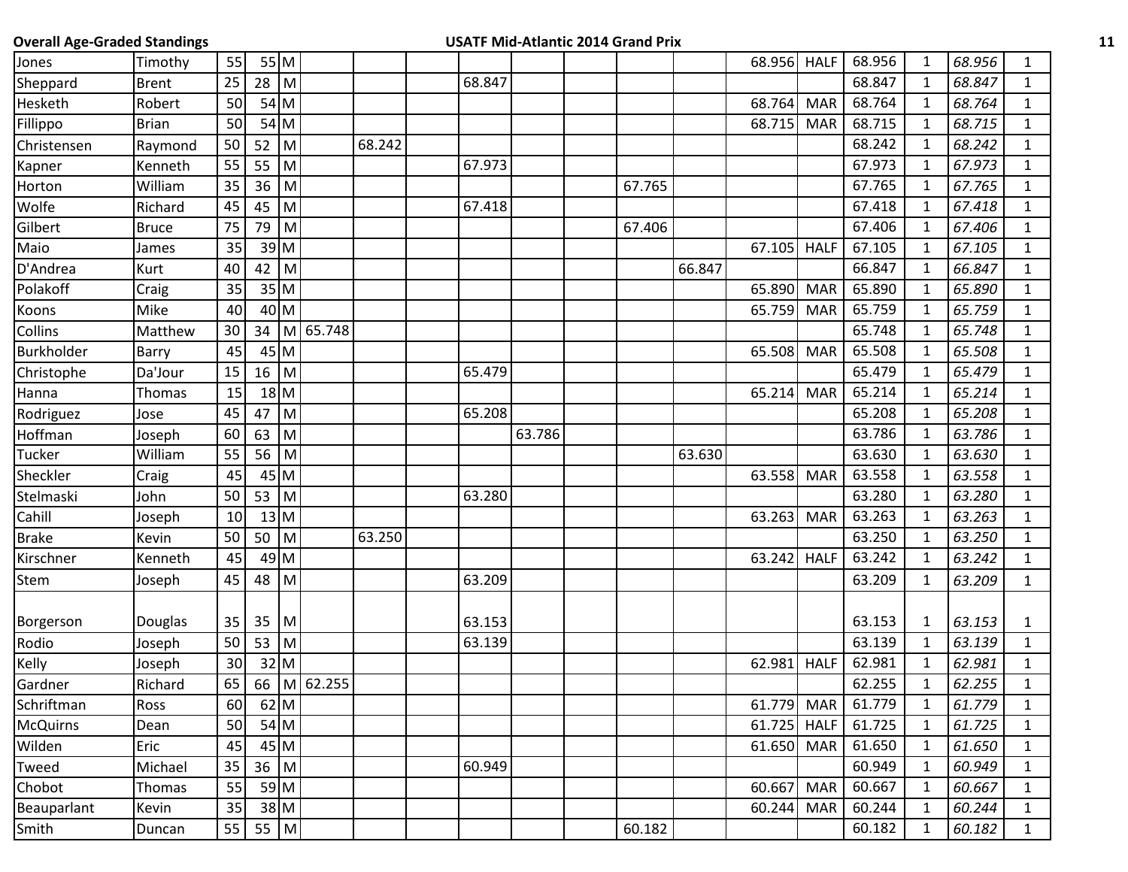| <b>Overall Age-Graded Standings</b> |              |                 |             |        |             |        |        |        | <b>USATF Mid-Atlantic 2014 Grand Prix</b> |        |               |             |        |              |        |              |  |
|-------------------------------------|--------------|-----------------|-------------|--------|-------------|--------|--------|--------|-------------------------------------------|--------|---------------|-------------|--------|--------------|--------|--------------|--|
| Jones                               | Timothy      | 55              |             | 55 M   |             |        |        |        |                                           |        | 68.956 HALF   |             | 68.956 | 1            | 68.956 | $\mathbf{1}$ |  |
| Sheppard                            | <b>Brent</b> | 25              | $28$ M      |        |             |        | 68.847 |        |                                           |        |               |             | 68.847 | $\mathbf{1}$ | 68.847 | $\mathbf{1}$ |  |
| Hesketh                             | Robert       | 50              |             | 54 M   |             |        |        |        |                                           |        | 68.764        | MAR         | 68.764 | 1            | 68.764 | 1            |  |
| Fillippo                            | <b>Brian</b> | 50              |             | $54$ M |             |        |        |        |                                           |        | 68.715        | <b>MAR</b>  | 68.715 | 1            | 68.715 | $\mathbf{1}$ |  |
| Christensen                         | Raymond      | 50              | 52          | M      |             | 68.242 |        |        |                                           |        |               |             | 68.242 | 1            | 68.242 | $\mathbf{1}$ |  |
| Kapner                              | Kenneth      | 55              | 55 M        |        |             |        | 67.973 |        |                                           |        |               |             | 67.973 | $\mathbf 1$  | 67.973 | $\mathbf{1}$ |  |
| Horton                              | William      | 35              | 36          | M      |             |        |        |        | 67.765                                    |        |               |             | 67.765 | 1            | 67.765 | $\mathbf{1}$ |  |
| Wolfe                               | Richard      | 45              | 45          | M      |             |        | 67.418 |        |                                           |        |               |             | 67.418 | -1           | 67.418 | $\mathbf{1}$ |  |
| Gilbert                             | <b>Bruce</b> | 75              | 79          | M      |             |        |        |        | 67.406                                    |        |               |             | 67.406 | 1            | 67.406 | $\mathbf{1}$ |  |
| Maio                                | James        | 35              |             | $39$ M |             |        |        |        |                                           |        | 67.105 HALF   |             | 67.105 | -1           | 67.105 | $\mathbf{1}$ |  |
| D'Andrea                            | Kurt         | 40              | $42 \mid M$ |        |             |        |        |        |                                           | 66.847 |               |             | 66.847 | 1            | 66.847 | $\mathbf{1}$ |  |
| Polakoff                            | Craig        | 35              |             | $35$ M |             |        |        |        |                                           |        | 65.890        | <b>MAR</b>  | 65.890 | $\mathbf 1$  | 65.890 | $\mathbf{1}$ |  |
| Koons                               | Mike         | 40              |             | 40 M   |             |        |        |        |                                           |        | 65.759        | <b>MAR</b>  | 65.759 | 1            | 65.759 | $\mathbf{1}$ |  |
| Collins                             | Matthew      | 30 <sup>°</sup> | 34          |        | M 65.748    |        |        |        |                                           |        |               |             | 65.748 | $\mathbf{1}$ | 65.748 | $\mathbf{1}$ |  |
| Burkholder                          | Barry        | 45              |             | 45 M   |             |        |        |        |                                           |        | 65.508 MAR    |             | 65.508 | 1            | 65.508 | 1            |  |
| Christophe                          | Da'Jour      | 15              | $16$ M      |        |             |        | 65.479 |        |                                           |        |               |             | 65.479 | 1            | 65.479 | $\mathbf{1}$ |  |
| Hanna                               | Thomas       | 15              |             | $18$ M |             |        |        |        |                                           |        | 65.214        | <b>MAR</b>  | 65.214 | 1            | 65.214 | $\mathbf{1}$ |  |
| Rodriguez                           | Jose         | 45              | 47 M        |        |             |        | 65.208 |        |                                           |        |               |             | 65.208 | 1            | 65.208 | $\mathbf{1}$ |  |
| Hoffman                             | Joseph       | 60              | 63          | M      |             |        |        | 63.786 |                                           |        |               |             | 63.786 | 1            | 63.786 | $\mathbf{1}$ |  |
| Tucker                              | William      | 55              | 56 M        |        |             |        |        |        |                                           | 63.630 |               |             | 63.630 | 1            | 63.630 | $\mathbf{1}$ |  |
| Sheckler                            | Craig        | 45              |             | 45 M   |             |        |        |        |                                           |        | 63.558 MAR    |             | 63.558 | 1            | 63.558 | $\mathbf{1}$ |  |
| Stelmaski                           | John         | 50              | $53 \mid M$ |        |             |        | 63.280 |        |                                           |        |               |             | 63.280 | 1            | 63.280 | 1            |  |
| Cahill                              | Joseph       | 10 <sup>1</sup> |             | $13$ M |             |        |        |        |                                           |        | 63.263        | <b>MAR</b>  | 63.263 | 1            | 63.263 | $\mathbf{1}$ |  |
| <b>Brake</b>                        | Kevin        | 50              | $50$ M      |        |             | 63.250 |        |        |                                           |        |               |             | 63.250 | 1            | 63.250 | $\mathbf{1}$ |  |
| Kirschner                           | Kenneth      | 45              |             | 49 M   |             |        |        |        |                                           |        | 63.242        | <b>HALF</b> | 63.242 | 1            | 63.242 | $\mathbf{1}$ |  |
| Stem                                | Joseph       | 45              | 48          | M      |             |        | 63.209 |        |                                           |        |               |             | 63.209 | 1            | 63.209 | $\mathbf{1}$ |  |
| Borgerson                           | Douglas      | 35              | 35 M        |        |             |        | 63.153 |        |                                           |        |               |             | 63.153 | 1            | 63.153 | $\mathbf{1}$ |  |
| Rodio                               | Joseph       | 50              | $53 \mid M$ |        |             |        | 63.139 |        |                                           |        |               |             | 63.139 | $\mathbf{1}$ | 63.139 | $\mathbf{1}$ |  |
| Kelly                               | Joseph       | 30 <sup>1</sup> |             | 32 M   |             |        |        |        |                                           |        | 62.981 HALF   |             | 62.981 | $\mathbf{1}$ | 62.981 | $\mathbf{1}$ |  |
| Gardner                             | Richard      | 65              |             |        | 66 M 62.255 |        |        |        |                                           |        |               |             | 62.255 | 1            | 62.255 | 1            |  |
| Schriftman                          | Ross         | 60              |             | 62 M   |             |        |        |        |                                           |        | 61.779        | MAR         | 61.779 | $\mathbf 1$  | 61.779 | $\mathbf{1}$ |  |
| <b>McQuirns</b>                     | Dean         | 50              |             | $54$ M |             |        |        |        |                                           |        | $61.725$ HALF |             | 61.725 | $\mathbf 1$  | 61.725 | $\mathbf{1}$ |  |
| Wilden                              | Eric         | 45              |             | 45 M   |             |        |        |        |                                           |        | 61.650        | MAR         | 61.650 | $\mathbf{1}$ | 61.650 | $\mathbf{1}$ |  |
| Tweed                               | Michael      | 35              | $36$ M      |        |             |        | 60.949 |        |                                           |        |               |             | 60.949 | $\mathbf{1}$ | 60.949 | $\mathbf{1}$ |  |
| Chobot                              | Thomas       | 55              |             | 59 M   |             |        |        |        |                                           |        | 60.667        | <b>MAR</b>  | 60.667 | 1            | 60.667 | $\mathbf{1}$ |  |
| Beauparlant                         | Kevin        | 35              |             | 38 M   |             |        |        |        |                                           |        | 60.244        | <b>MAR</b>  | 60.244 | $\mathbf 1$  | 60.244 | $\mathbf{1}$ |  |
| Smith                               | Duncan       | 55              | 55 M        |        |             |        |        |        | 60.182                                    |        |               |             | 60.182 | $\mathbf 1$  | 60.182 | $\mathbf{1}$ |  |